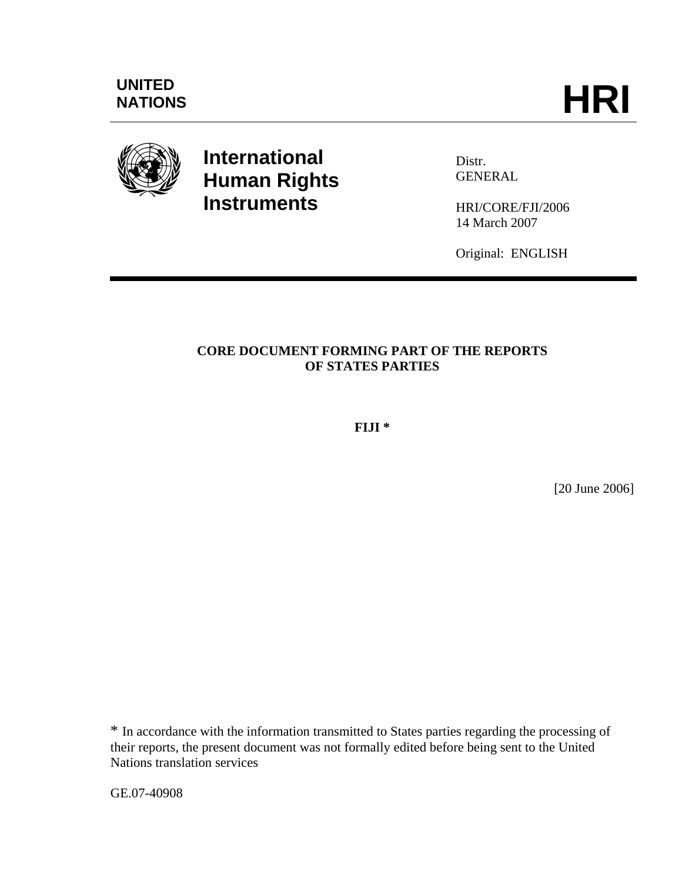

# **International Human Rights Instruments**

Distr. GENERAL

HRI/CORE/FJI/2006 14 March 2007

Original: ENGLISH

## **CORE DOCUMENT FORMING PART OF THE REPORTS OF STATES PARTIES**

**FIJI \*** 

[20 June 2006]

\* In accordance with the information transmitted to States parties regarding the processing of their reports, the present document was not formally edited before being sent to the United Nations translation services

GE.07-40908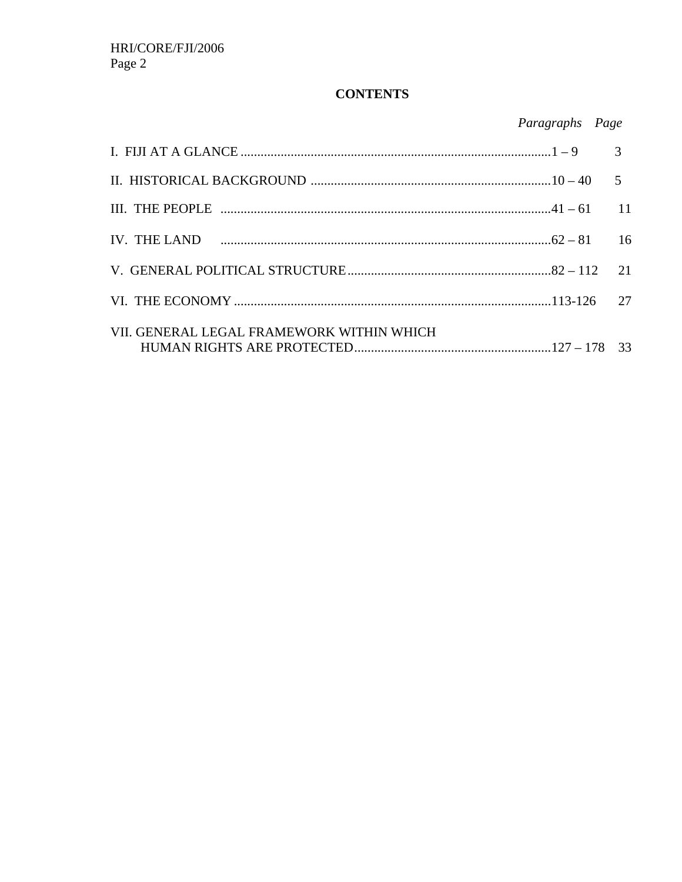## **CONTENTS**

| Paragraphs | Page |
|------------|------|
|            |      |

|                                           | 21 |
|-------------------------------------------|----|
|                                           |    |
| VII. GENERAL LEGAL FRAMEWORK WITHIN WHICH |    |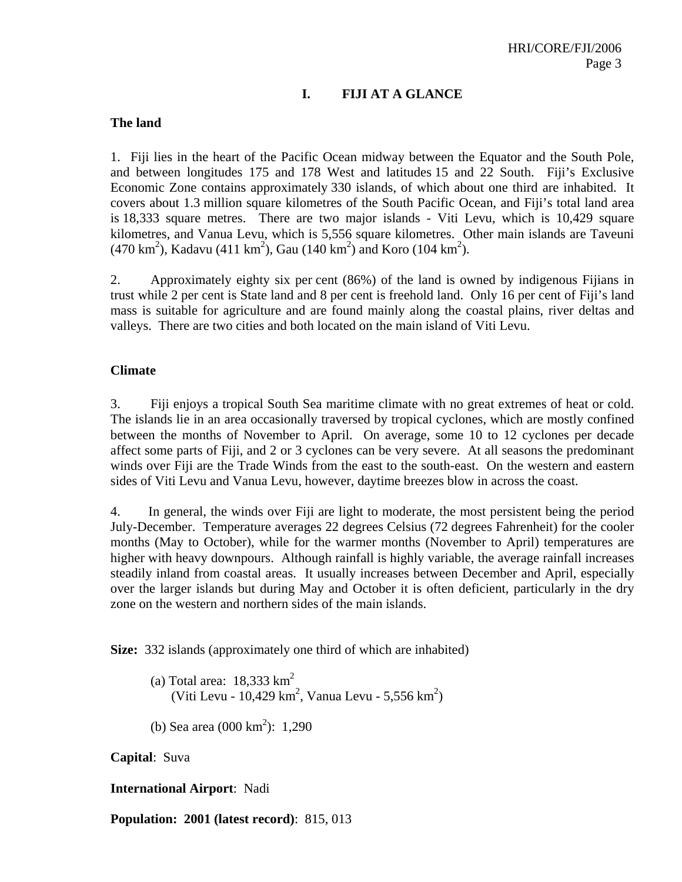## **I. FIJI AT A GLANCE**

#### **The land**

1. Fiji lies in the heart of the Pacific Ocean midway between the Equator and the South Pole, and between longitudes 175 and 178 West and latitudes 15 and 22 South. Fiji's Exclusive Economic Zone contains approximately 330 islands, of which about one third are inhabited. It covers about 1.3 million square kilometres of the South Pacific Ocean, and Fiji's total land area is 18,333 square metres. There are two major islands - Viti Levu, which is 10,429 square kilometres, and Vanua Levu, which is 5,556 square kilometres. Other main islands are Taveuni  $(470 \text{ km}^2)$ , Kadavu  $(411 \text{ km}^2)$ , Gau  $(140 \text{ km}^2)$  and Koro  $(104 \text{ km}^2)$ .

2. Approximately eighty six per cent (86%) of the land is owned by indigenous Fijians in trust while 2 per cent is State land and 8 per cent is freehold land. Only 16 per cent of Fiji's land mass is suitable for agriculture and are found mainly along the coastal plains, river deltas and valleys. There are two cities and both located on the main island of Viti Levu.

#### **Climate**

3. Fiji enjoys a tropical South Sea maritime climate with no great extremes of heat or cold. The islands lie in an area occasionally traversed by tropical cyclones, which are mostly confined between the months of November to April. On average, some 10 to 12 cyclones per decade affect some parts of Fiji, and 2 or 3 cyclones can be very severe. At all seasons the predominant winds over Fiji are the Trade Winds from the east to the south-east. On the western and eastern sides of Viti Levu and Vanua Levu, however, daytime breezes blow in across the coast.

4. In general, the winds over Fiji are light to moderate, the most persistent being the period July-December. Temperature averages 22 degrees Celsius (72 degrees Fahrenheit) for the cooler months (May to October), while for the warmer months (November to April) temperatures are higher with heavy downpours. Although rainfall is highly variable, the average rainfall increases steadily inland from coastal areas. It usually increases between December and April, especially over the larger islands but during May and October it is often deficient, particularly in the dry zone on the western and northern sides of the main islands.

**Size:** 332 islands (approximately one third of which are inhabited)

- (a) Total area:  $18,333$  km<sup>2</sup> (Viti Levu - 10,429 km<sup>2</sup>, Vanua Levu - 5,556 km<sup>2</sup>)
- (b) Sea area  $(000 \text{ km}^2)$ : 1,290

**Capital**: Suva

**International Airport**: Nadi

**Population: 2001 (latest record)**: 815, 013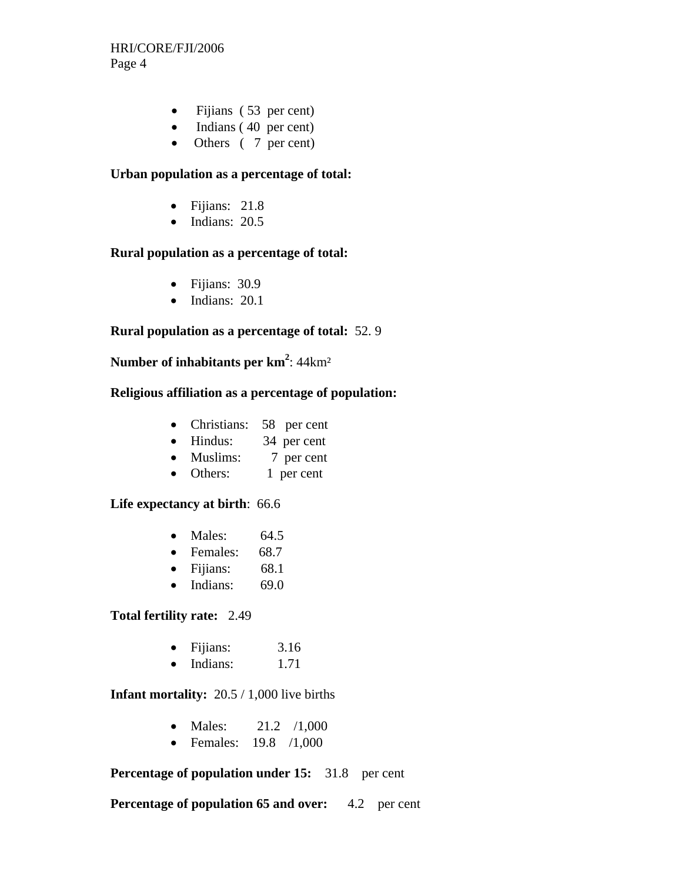- Fijians (53 per cent)
- Indians (40 per cent)
- Others ( 7 per cent)

#### **Urban population as a percentage of total:**

- Fijians: 21.8
- $\bullet$  Indians: 20.5

## **Rural population as a percentage of total:**

- Fijians: 30.9
- Indians: 20.1

#### **Rural population as a percentage of total:** 52. 9

## **Number of inhabitants per km<sup>2</sup>: 44km<sup>2</sup>**

#### **Religious affiliation as a percentage of population:**

- Christians: 58 per cent
- Hindus: 34 per cent
- Muslims: 7 per cent
- Others: 1 per cent

#### **Life expectancy at birth**: 66.6

- Males: 64.5
- Females: 68.7
- Fijians: 68.1
- $\bullet$  Indians: 69.0

#### **Total fertility rate:** 2.49

- Fijians: 3.16
- $\bullet$  Indians:  $1.71$

#### **Infant mortality:** 20.5 / 1,000 live births

- Males:  $21.2 / 1,000$
- Females: 19.8 /1,000

#### **Percentage of population under 15:** 31.8 per cent

**Percentage of population 65 and over:** 4.2 per cent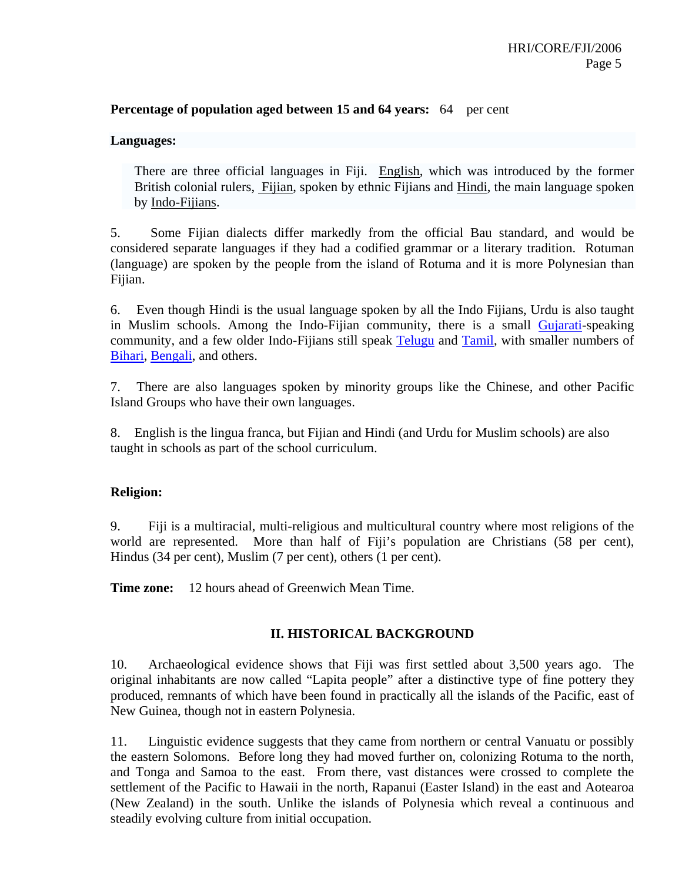#### **Percentage of population aged between 15 and 64 years:** 64 per cent

#### **Languages:**

 There are three official languages in Fiji. English, which was introduced by the former British colonial rulers, Fijian, spoken by ethnic Fijians and Hindi, the main language spoken by Indo-Fijians.

5. Some Fijian dialects differ markedly from the official Bau standard, and would be considered separate languages if they had a codified grammar or a literary tradition. Rotuman (language) are spoken by the people from the island of Rotuma and it is more Polynesian than Fijian.

6. Even though Hindi is the usual language spoken by all the Indo Fijians, Urdu is also taught in Muslim schools. Among the Indo-Fijian community, there is a small Gujarati-speaking community, and a few older Indo-Fijians still speak Telugu and Tamil, with smaller numbers of Bihari, Bengali, and others.

7. There are also languages spoken by minority groups like the Chinese, and other Pacific Island Groups who have their own languages.

8. English is the lingua franca, but Fijian and Hindi (and Urdu for Muslim schools) are also taught in schools as part of the school curriculum.

#### **Religion:**

9. Fiji is a multiracial, multi-religious and multicultural country where most religions of the world are represented. More than half of Fiji's population are Christians (58 per cent), Hindus (34 per cent), Muslim (7 per cent), others (1 per cent).

**Time zone:** 12 hours ahead of Greenwich Mean Time.

## **II. HISTORICAL BACKGROUND**

10. Archaeological evidence shows that Fiji was first settled about 3,500 years ago. The original inhabitants are now called "Lapita people" after a distinctive type of fine pottery they produced, remnants of which have been found in practically all the islands of the Pacific, east of New Guinea, though not in eastern Polynesia.

11. Linguistic evidence suggests that they came from northern or central Vanuatu or possibly the eastern Solomons. Before long they had moved further on, colonizing Rotuma to the north, and Tonga and Samoa to the east. From there, vast distances were crossed to complete the settlement of the Pacific to Hawaii in the north, Rapanui (Easter Island) in the east and Aotearoa (New Zealand) in the south. Unlike the islands of Polynesia which reveal a continuous and steadily evolving culture from initial occupation.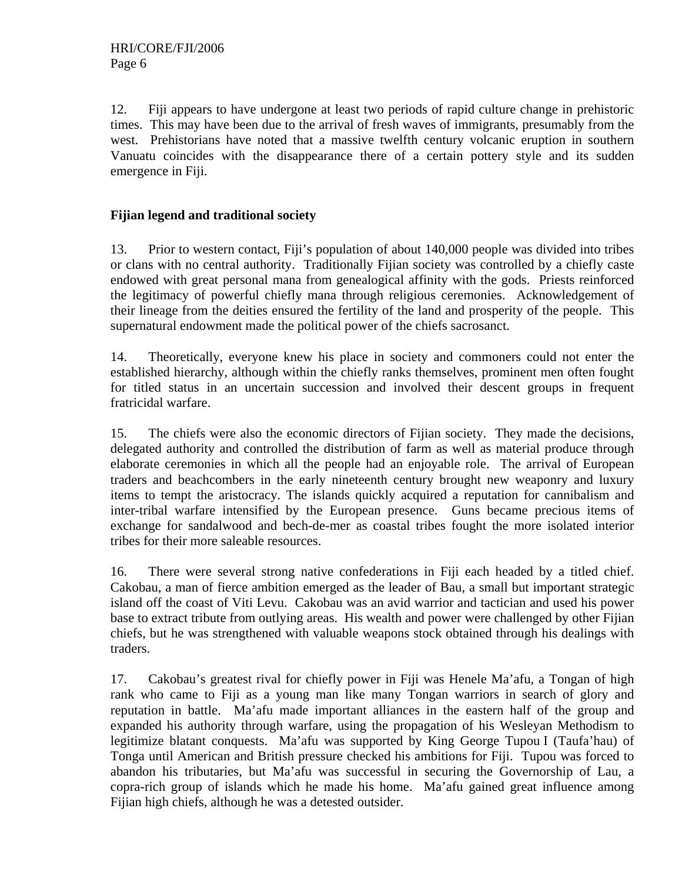12. Fiji appears to have undergone at least two periods of rapid culture change in prehistoric times. This may have been due to the arrival of fresh waves of immigrants, presumably from the west. Prehistorians have noted that a massive twelfth century volcanic eruption in southern Vanuatu coincides with the disappearance there of a certain pottery style and its sudden emergence in Fiji.

## **Fijian legend and traditional society**

13. Prior to western contact, Fiji's population of about 140,000 people was divided into tribes or clans with no central authority. Traditionally Fijian society was controlled by a chiefly caste endowed with great personal mana from genealogical affinity with the gods. Priests reinforced the legitimacy of powerful chiefly mana through religious ceremonies. Acknowledgement of their lineage from the deities ensured the fertility of the land and prosperity of the people. This supernatural endowment made the political power of the chiefs sacrosanct.

14. Theoretically, everyone knew his place in society and commoners could not enter the established hierarchy, although within the chiefly ranks themselves, prominent men often fought for titled status in an uncertain succession and involved their descent groups in frequent fratricidal warfare.

15. The chiefs were also the economic directors of Fijian society. They made the decisions, delegated authority and controlled the distribution of farm as well as material produce through elaborate ceremonies in which all the people had an enjoyable role. The arrival of European traders and beachcombers in the early nineteenth century brought new weaponry and luxury items to tempt the aristocracy. The islands quickly acquired a reputation for cannibalism and inter-tribal warfare intensified by the European presence. Guns became precious items of exchange for sandalwood and bech-de-mer as coastal tribes fought the more isolated interior tribes for their more saleable resources.

16. There were several strong native confederations in Fiji each headed by a titled chief. Cakobau, a man of fierce ambition emerged as the leader of Bau, a small but important strategic island off the coast of Viti Levu. Cakobau was an avid warrior and tactician and used his power base to extract tribute from outlying areas. His wealth and power were challenged by other Fijian chiefs, but he was strengthened with valuable weapons stock obtained through his dealings with traders.

17. Cakobau's greatest rival for chiefly power in Fiji was Henele Ma'afu, a Tongan of high rank who came to Fiji as a young man like many Tongan warriors in search of glory and reputation in battle. Ma'afu made important alliances in the eastern half of the group and expanded his authority through warfare, using the propagation of his Wesleyan Methodism to legitimize blatant conquests. Ma'afu was supported by King George Tupou I (Taufa'hau) of Tonga until American and British pressure checked his ambitions for Fiji. Tupou was forced to abandon his tributaries, but Ma'afu was successful in securing the Governorship of Lau, a copra-rich group of islands which he made his home. Ma'afu gained great influence among Fijian high chiefs, although he was a detested outsider.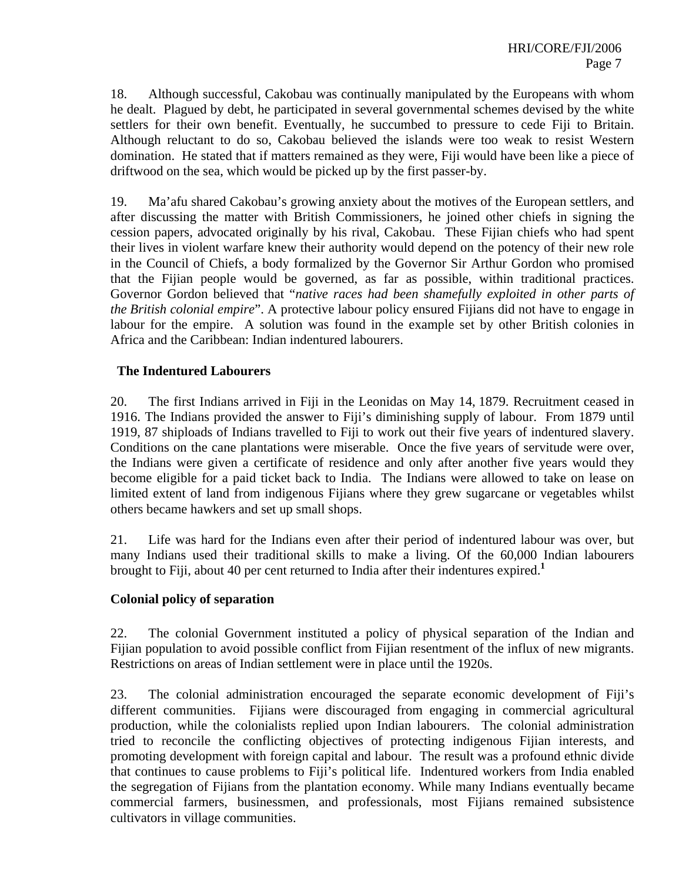18. Although successful, Cakobau was continually manipulated by the Europeans with whom he dealt. Plagued by debt, he participated in several governmental schemes devised by the white settlers for their own benefit. Eventually, he succumbed to pressure to cede Fiji to Britain. Although reluctant to do so, Cakobau believed the islands were too weak to resist Western domination. He stated that if matters remained as they were, Fiji would have been like a piece of driftwood on the sea, which would be picked up by the first passer-by.

19. Ma'afu shared Cakobau's growing anxiety about the motives of the European settlers, and after discussing the matter with British Commissioners, he joined other chiefs in signing the cession papers, advocated originally by his rival, Cakobau. These Fijian chiefs who had spent their lives in violent warfare knew their authority would depend on the potency of their new role in the Council of Chiefs, a body formalized by the Governor Sir Arthur Gordon who promised that the Fijian people would be governed, as far as possible, within traditional practices. Governor Gordon believed that "*native races had been shamefully exploited in other parts of the British colonial empire*". A protective labour policy ensured Fijians did not have to engage in labour for the empire. A solution was found in the example set by other British colonies in Africa and the Caribbean: Indian indentured labourers.

#### **The Indentured Labourers**

20. The first Indians arrived in Fiji in the Leonidas on May 14, 1879. Recruitment ceased in 1916. The Indians provided the answer to Fiji's diminishing supply of labour. From 1879 until 1919, 87 shiploads of Indians travelled to Fiji to work out their five years of indentured slavery. Conditions on the cane plantations were miserable. Once the five years of servitude were over, the Indians were given a certificate of residence and only after another five years would they become eligible for a paid ticket back to India. The Indians were allowed to take on lease on limited extent of land from indigenous Fijians where they grew sugarcane or vegetables whilst others became hawkers and set up small shops.

21. Life was hard for the Indians even after their period of indentured labour was over, but many Indians used their traditional skills to make a living. Of the 60,000 Indian labourers brought to Fiji, about 40 per cent returned to India after their indentures expired.**<sup>1</sup>**

#### **Colonial policy of separation**

22. The colonial Government instituted a policy of physical separation of the Indian and Fijian population to avoid possible conflict from Fijian resentment of the influx of new migrants. Restrictions on areas of Indian settlement were in place until the 1920s.

23. The colonial administration encouraged the separate economic development of Fiji's different communities. Fijians were discouraged from engaging in commercial agricultural production, while the colonialists replied upon Indian labourers. The colonial administration tried to reconcile the conflicting objectives of protecting indigenous Fijian interests, and promoting development with foreign capital and labour. The result was a profound ethnic divide that continues to cause problems to Fiji's political life. Indentured workers from India enabled the segregation of Fijians from the plantation economy. While many Indians eventually became commercial farmers, businessmen, and professionals, most Fijians remained subsistence cultivators in village communities.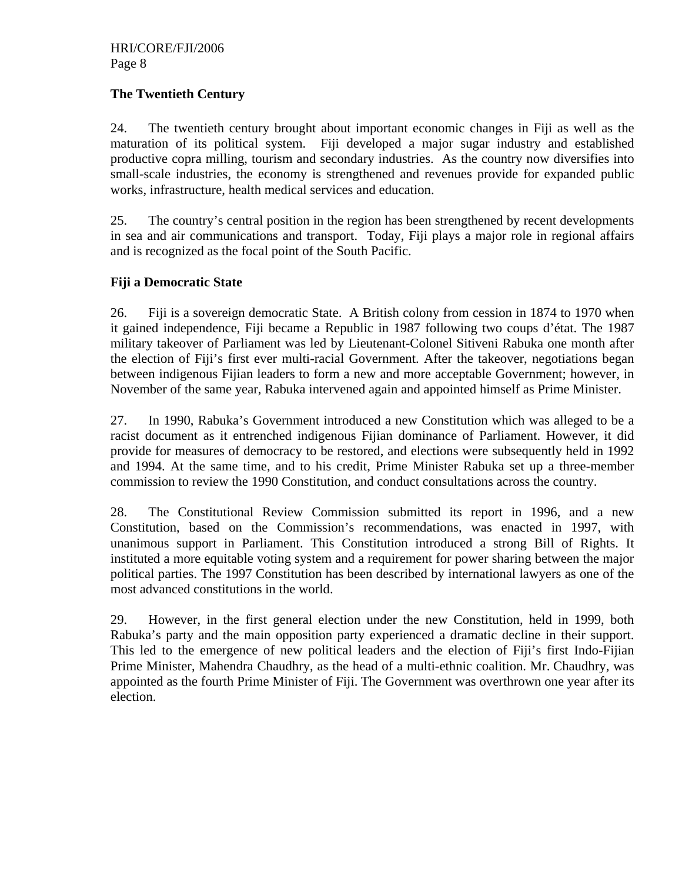## **The Twentieth Century**

24. The twentieth century brought about important economic changes in Fiji as well as the maturation of its political system. Fiji developed a major sugar industry and established productive copra milling, tourism and secondary industries. As the country now diversifies into small-scale industries, the economy is strengthened and revenues provide for expanded public works, infrastructure, health medical services and education.

25. The country's central position in the region has been strengthened by recent developments in sea and air communications and transport. Today, Fiji plays a major role in regional affairs and is recognized as the focal point of the South Pacific.

## **Fiji a Democratic State**

26. Fiji is a sovereign democratic State. A British colony from cession in 1874 to 1970 when it gained independence, Fiji became a Republic in 1987 following two coups d'état. The 1987 military takeover of Parliament was led by Lieutenant-Colonel Sitiveni Rabuka one month after the election of Fiji's first ever multi-racial Government. After the takeover, negotiations began between indigenous Fijian leaders to form a new and more acceptable Government; however, in November of the same year, Rabuka intervened again and appointed himself as Prime Minister.

27. In 1990, Rabuka's Government introduced a new Constitution which was alleged to be a racist document as it entrenched indigenous Fijian dominance of Parliament. However, it did provide for measures of democracy to be restored, and elections were subsequently held in 1992 and 1994. At the same time, and to his credit, Prime Minister Rabuka set up a three-member commission to review the 1990 Constitution, and conduct consultations across the country.

28. The Constitutional Review Commission submitted its report in 1996, and a new Constitution, based on the Commission's recommendations, was enacted in 1997, with unanimous support in Parliament. This Constitution introduced a strong Bill of Rights. It instituted a more equitable voting system and a requirement for power sharing between the major political parties. The 1997 Constitution has been described by international lawyers as one of the most advanced constitutions in the world.

29. However, in the first general election under the new Constitution, held in 1999, both Rabuka's party and the main opposition party experienced a dramatic decline in their support. This led to the emergence of new political leaders and the election of Fiji's first Indo-Fijian Prime Minister, Mahendra Chaudhry, as the head of a multi-ethnic coalition. Mr. Chaudhry, was appointed as the fourth Prime Minister of Fiji. The Government was overthrown one year after its election.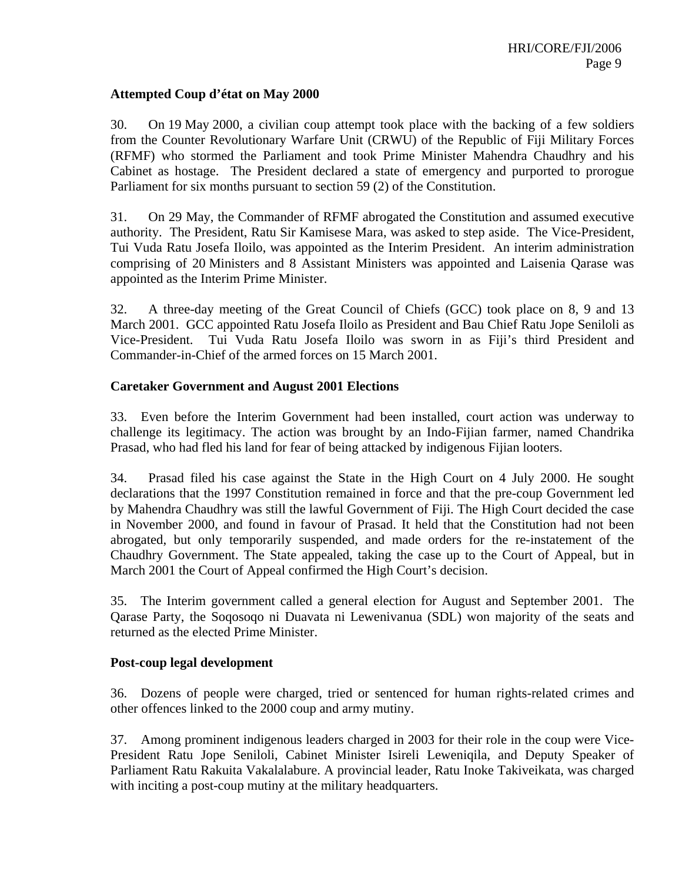#### **Attempted Coup d'état on May 2000**

30. On 19 May 2000, a civilian coup attempt took place with the backing of a few soldiers from the Counter Revolutionary Warfare Unit (CRWU) of the Republic of Fiji Military Forces (RFMF) who stormed the Parliament and took Prime Minister Mahendra Chaudhry and his Cabinet as hostage. The President declared a state of emergency and purported to prorogue Parliament for six months pursuant to section 59 (2) of the Constitution.

31. On 29 May, the Commander of RFMF abrogated the Constitution and assumed executive authority. The President, Ratu Sir Kamisese Mara, was asked to step aside. The Vice-President, Tui Vuda Ratu Josefa Iloilo, was appointed as the Interim President. An interim administration comprising of 20 Ministers and 8 Assistant Ministers was appointed and Laisenia Qarase was appointed as the Interim Prime Minister.

32. A three-day meeting of the Great Council of Chiefs (GCC) took place on 8, 9 and 13 March 2001. GCC appointed Ratu Josefa Iloilo as President and Bau Chief Ratu Jope Seniloli as Vice-President. Tui Vuda Ratu Josefa Iloilo was sworn in as Fiji's third President and Commander-in-Chief of the armed forces on 15 March 2001.

#### **Caretaker Government and August 2001 Elections**

33. Even before the Interim Government had been installed, court action was underway to challenge its legitimacy. The action was brought by an Indo-Fijian farmer, named Chandrika Prasad, who had fled his land for fear of being attacked by indigenous Fijian looters.

34. Prasad filed his case against the State in the High Court on 4 July 2000. He sought declarations that the 1997 Constitution remained in force and that the pre-coup Government led by Mahendra Chaudhry was still the lawful Government of Fiji. The High Court decided the case in November 2000, and found in favour of Prasad. It held that the Constitution had not been abrogated, but only temporarily suspended, and made orders for the re-instatement of the Chaudhry Government. The State appealed, taking the case up to the Court of Appeal, but in March 2001 the Court of Appeal confirmed the High Court's decision.

35. The Interim government called a general election for August and September 2001. The Qarase Party, the Soqosoqo ni Duavata ni Lewenivanua (SDL) won majority of the seats and returned as the elected Prime Minister.

#### **Post-coup legal development**

36. Dozens of people were charged, tried or sentenced for human rights-related crimes and other offences linked to the 2000 coup and army mutiny.

37. Among prominent indigenous leaders charged in 2003 for their role in the coup were Vice-President Ratu Jope Seniloli, Cabinet Minister Isireli Leweniqila, and Deputy Speaker of Parliament Ratu Rakuita Vakalalabure. A provincial leader, Ratu Inoke Takiveikata, was charged with inciting a post-coup mutiny at the military headquarters.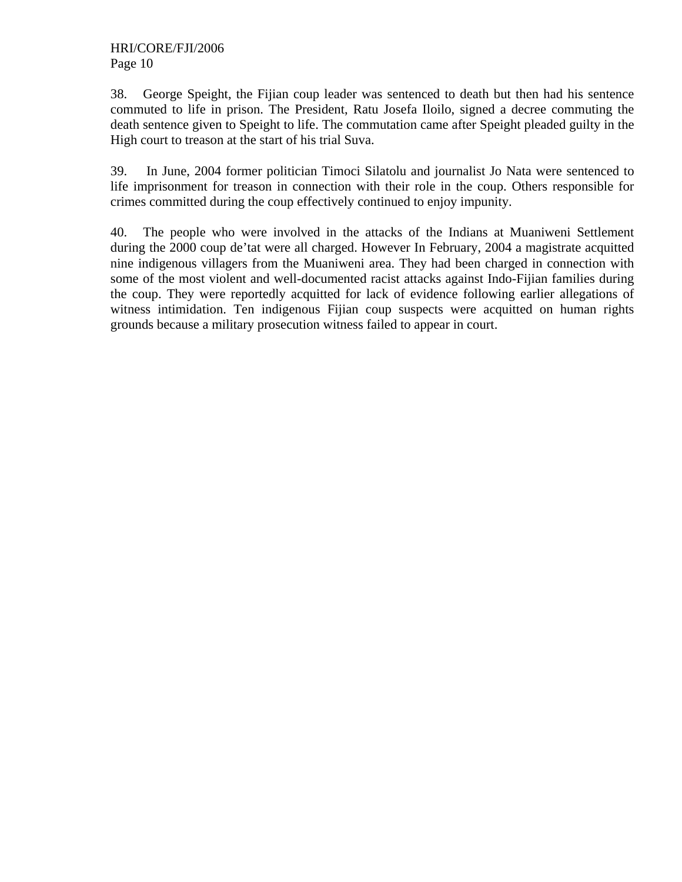38. George Speight, the Fijian coup leader was sentenced to death but then had his sentence commuted to life in prison. The President, Ratu Josefa Iloilo, signed a decree commuting the death sentence given to Speight to life. The commutation came after Speight pleaded guilty in the High court to treason at the start of his trial Suva.

39. In June, 2004 former politician Timoci Silatolu and journalist Jo Nata were sentenced to life imprisonment for treason in connection with their role in the coup. Others responsible for crimes committed during the coup effectively continued to enjoy impunity.

40. The people who were involved in the attacks of the Indians at Muaniweni Settlement during the 2000 coup de'tat were all charged. However In February, 2004 a magistrate acquitted nine indigenous villagers from the Muaniweni area. They had been charged in connection with some of the most violent and well-documented racist attacks against Indo-Fijian families during the coup. They were reportedly acquitted for lack of evidence following earlier allegations of witness intimidation. Ten indigenous Fijian coup suspects were acquitted on human rights grounds because a military prosecution witness failed to appear in court.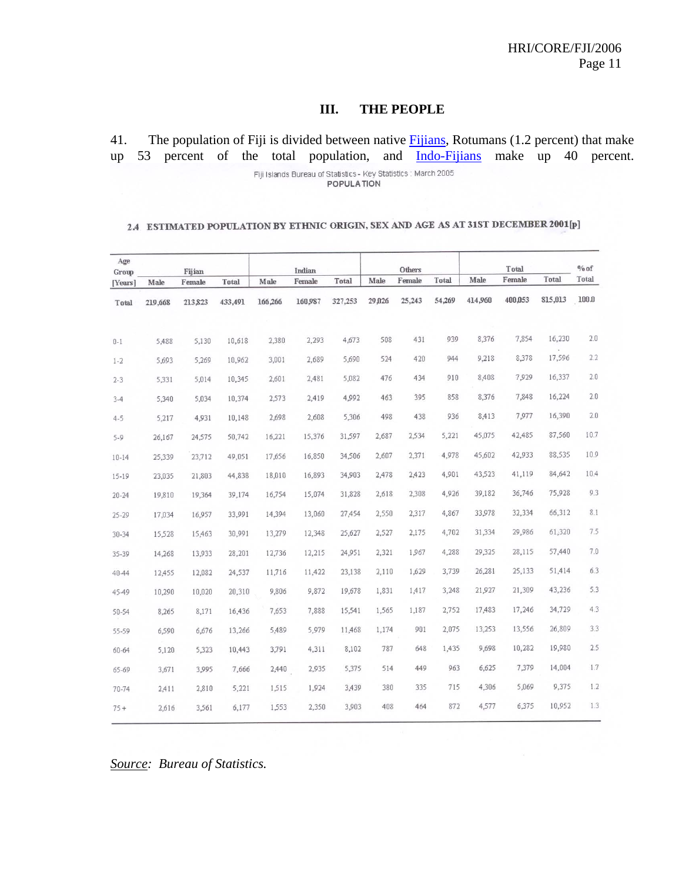#### **III. THE PEOPLE**

41. The population of Fiji is divided between native Fijians, Rotumans (1.2 percent) that make up 53 percent of the total population, and Indo-Fijians make up 40 percent.

Fiji Islands Bureau of Statistics - Key Statistics : March 2005 **POPULATION** 

#### 2.4 ESTIMATED POPULATION BY ETHNIC ORIGIN, SEX AND AGE AS AT 31ST DECEMBER 2001[p]

| Age<br>Group |         | Fijian  |         |         | Indian  |         |        | Others |        |         | Total   |         | $%$ of |
|--------------|---------|---------|---------|---------|---------|---------|--------|--------|--------|---------|---------|---------|--------|
| [Years]      | Male    | Female  | Total   | Male    | Female  | Total   | Male   | Female | Total  | Male    | Female  | Total   | Total  |
| Total        | 219,668 | 213,823 | 433,491 | 166,266 | 160,987 | 327,253 | 29,026 | 25,243 | 54,269 | 414,960 | 400,053 | 815,013 | 100 D  |
| $0 - 1$      | 5,488   | 5,130   | 10,618  | 2,380   | 2,293   | 4,673   | 508    | 431    | 939    | 8,376   | 7,854   | 16,230  | 2.0    |
| $1 - 2$      | 5,693   | 5,269   | 10,962  | 3,001   | 2,689   | 5,690   | 524    | 420    | 944    | 9,218   | 8,378   | 17,596  | 2.2    |
| $2 - 3$      | 5,331   | 5,014   | 10,345  | 2,601   | 2,481   | 5,082   | 476    | 434    | 910    | 8,408   | 7,929   | 16,337  | 2.0    |
| $3 - 4$      | 5,340   | 5,034   | 10,374  | 2,573   | 2,419   | 4,992   | 463    | 395    | 858    | 8,376   | 7,848   | 16,224  | 2.0    |
| $4 - 5$      | 5,217   | 4,931   | 10,148  | 2,698   | 2,608   | 5,306   | 498    | 438    | 936    | 8,413   | 7,977   | 16,390  | 2.0    |
| $5 - 9$      | 26,167  | 24,575  | 50,742  | 16,221  | 15,376  | 31,597  | 2,687  | 2,534  | 5,221  | 45,075  | 42,485  | 87,560  | 10.7   |
| $10 - 14$    | 25,339  | 23,712  | 49,051  | 17,656  | 16,850  | 34,506  | 2,607  | 2,371  | 4,978  | 45,602  | 42,933  | 88,535  | 10.9   |
| $15 - 19$    | 23,035  | 21,803  | 44,838  | 18,010  | 16,893  | 34,903  | 2,478  | 2,423  | 4,901  | 43,523  | 41,119  | 84,642  | 10.4   |
| $20 - 24$    | 19,810  | 19,364  | 39,174  | 16,754  | 15,074  | 31,828  | 2,618  | 2,308  | 4,926  | 39,182  | 36,746  | 75,928  | 9.3    |
| 25-29        | 17,034  | 16,957  | 33,991  | 14,394  | 13,060  | 27,454  | 2,550  | 2,317  | 4,867  | 33,978  | 32,334  | 66,312  | 8.1    |
| $30 - 34$    | 15,528  | 15,463  | 30,991  | 13,279  | 12,348  | 25,627  | 2,527  | 2,175  | 4,702  | 31,334  | 29,986  | 61,320  | 7.5    |
| 35-39        | 14,268  | 13,933  | 28,201  | 12,736  | 12,215  | 24,951  | 2,321  | 1,967  | 4,288  | 29,325  | 28,115  | 57,440  | 7.0    |
| 4044         | 12,455  | 12,082  | 24,537  | 11,716  | 11,422  | 23,138  | 2,110  | 1,629  | 3,739  | 26,281  | 25,133  | 51,414  | 6.3    |
| 4549         | 10,290  | 10,020  | 20,310  | 9,806   | 9,872   | 19,678  | 1,831  | 1,417  | 3,248  | 21,927  | 21,309  | 43,236  | 5.3    |
| 50-54        | 8,265   | 8,171   | 16,436  | 7,653   | 7,888   | 15,541  | 1,565  | 1,187  | 2,752  | 17,483  | 17,246  | 34,729  | 4.3    |
| 55-59        | 6,590   | 6,676   | 13,266  | 5,489   | 5,979   | 11,468  | 1,174  | 901    | 2,075  | 13,253  | 13,556  | 26,809  | 3.3    |
| 60-64        | 5,120   | 5,323   | 10,443  | 3,791   | 4,311   | 8,102   | 787    | 648    | 1,435  | 9,698   | 10,282  | 19,980  | 2.5    |
| 65-69        | 3,671   | 3,995   | 7,666   | 2,440   | 2,935   | 5,375   | 514    | 449    | 963    | 6,625   | 7,379   | 14,004  | 1.7    |
| 70-74        | 2,411   | 2,810   | 5,221   | 1,515   | 1,924   | 3,439   | 380    | 335    | 715    | 4,306   | 5,069   | 9,375   | 1.2    |
| $75 +$       | 2,616   | 3,561   | 6,177   | 1,553   | 2,350   | 3,903   | 408    | 464    | 872    | 4,577   | 6,375   | 10,952  | 1.3    |

*Source: Bureau of Statistics.*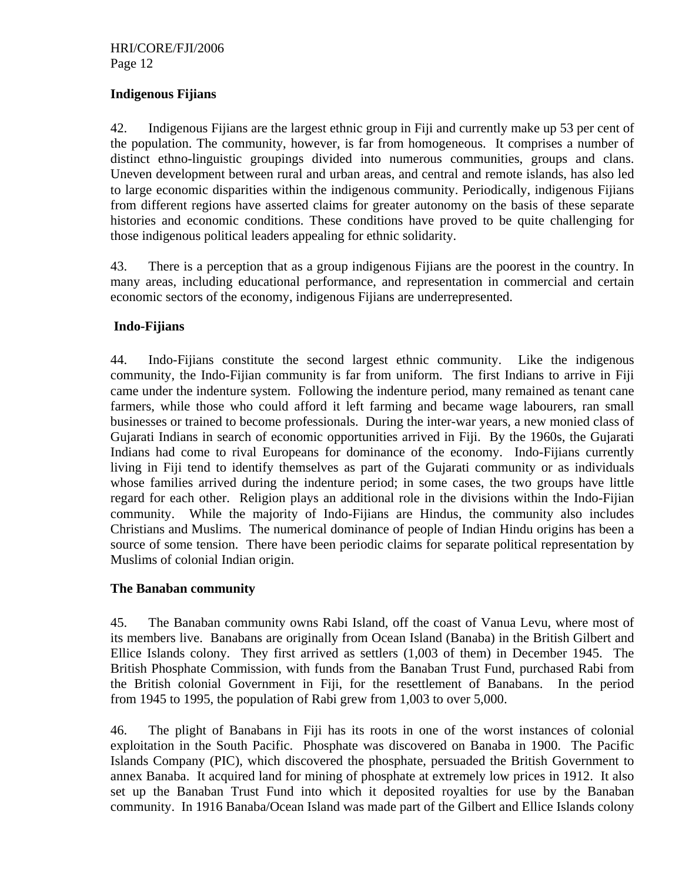## **Indigenous Fijians**

42. Indigenous Fijians are the largest ethnic group in Fiji and currently make up 53 per cent of the population. The community, however, is far from homogeneous. It comprises a number of distinct ethno-linguistic groupings divided into numerous communities, groups and clans. Uneven development between rural and urban areas, and central and remote islands, has also led to large economic disparities within the indigenous community. Periodically, indigenous Fijians from different regions have asserted claims for greater autonomy on the basis of these separate histories and economic conditions. These conditions have proved to be quite challenging for those indigenous political leaders appealing for ethnic solidarity.

43. There is a perception that as a group indigenous Fijians are the poorest in the country. In many areas, including educational performance, and representation in commercial and certain economic sectors of the economy, indigenous Fijians are underrepresented.

#### **Indo-Fijians**

44. Indo-Fijians constitute the second largest ethnic community. Like the indigenous community, the Indo-Fijian community is far from uniform. The first Indians to arrive in Fiji came under the indenture system. Following the indenture period, many remained as tenant cane farmers, while those who could afford it left farming and became wage labourers, ran small businesses or trained to become professionals. During the inter-war years, a new monied class of Gujarati Indians in search of economic opportunities arrived in Fiji. By the 1960s, the Gujarati Indians had come to rival Europeans for dominance of the economy. Indo-Fijians currently living in Fiji tend to identify themselves as part of the Gujarati community or as individuals whose families arrived during the indenture period; in some cases, the two groups have little regard for each other. Religion plays an additional role in the divisions within the Indo-Fijian community. While the majority of Indo-Fijians are Hindus, the community also includes Christians and Muslims. The numerical dominance of people of Indian Hindu origins has been a source of some tension. There have been periodic claims for separate political representation by Muslims of colonial Indian origin.

#### **The Banaban community**

45. The Banaban community owns Rabi Island, off the coast of Vanua Levu, where most of its members live. Banabans are originally from Ocean Island (Banaba) in the British Gilbert and Ellice Islands colony. They first arrived as settlers (1,003 of them) in December 1945. The British Phosphate Commission, with funds from the Banaban Trust Fund, purchased Rabi from the British colonial Government in Fiji, for the resettlement of Banabans. In the period from 1945 to 1995, the population of Rabi grew from 1,003 to over 5,000.

46. The plight of Banabans in Fiji has its roots in one of the worst instances of colonial exploitation in the South Pacific. Phosphate was discovered on Banaba in 1900. The Pacific Islands Company (PIC), which discovered the phosphate, persuaded the British Government to annex Banaba. It acquired land for mining of phosphate at extremely low prices in 1912. It also set up the Banaban Trust Fund into which it deposited royalties for use by the Banaban community. In 1916 Banaba/Ocean Island was made part of the Gilbert and Ellice Islands colony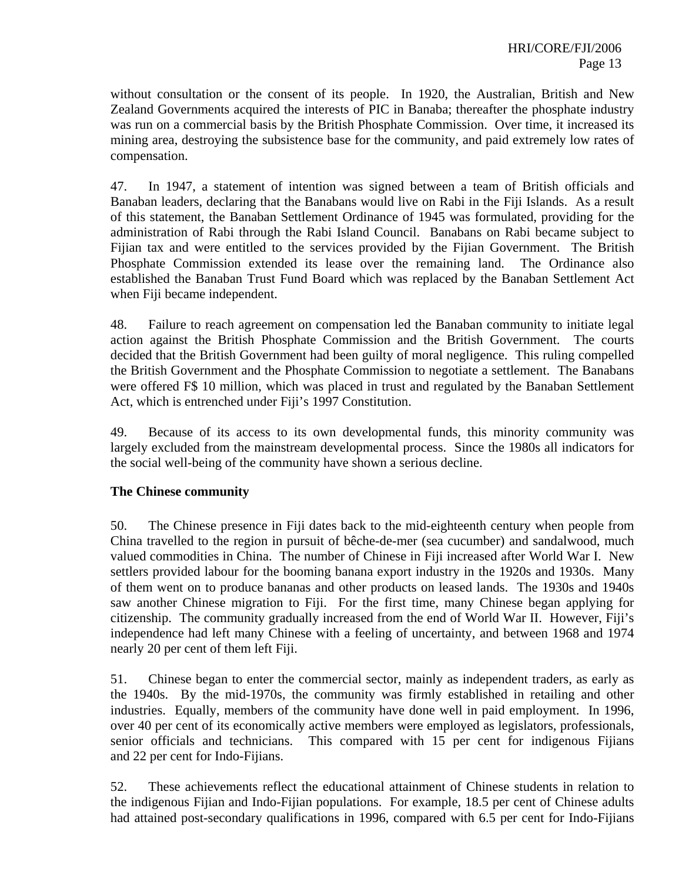without consultation or the consent of its people. In 1920, the Australian, British and New Zealand Governments acquired the interests of PIC in Banaba; thereafter the phosphate industry was run on a commercial basis by the British Phosphate Commission. Over time, it increased its mining area, destroying the subsistence base for the community, and paid extremely low rates of compensation.

47. In 1947, a statement of intention was signed between a team of British officials and Banaban leaders, declaring that the Banabans would live on Rabi in the Fiji Islands. As a result of this statement, the Banaban Settlement Ordinance of 1945 was formulated, providing for the administration of Rabi through the Rabi Island Council. Banabans on Rabi became subject to Fijian tax and were entitled to the services provided by the Fijian Government. The British Phosphate Commission extended its lease over the remaining land. The Ordinance also established the Banaban Trust Fund Board which was replaced by the Banaban Settlement Act when Fiji became independent.

48. Failure to reach agreement on compensation led the Banaban community to initiate legal action against the British Phosphate Commission and the British Government. The courts decided that the British Government had been guilty of moral negligence. This ruling compelled the British Government and the Phosphate Commission to negotiate a settlement. The Banabans were offered F\$ 10 million, which was placed in trust and regulated by the Banaban Settlement Act, which is entrenched under Fiji's 1997 Constitution.

49. Because of its access to its own developmental funds, this minority community was largely excluded from the mainstream developmental process. Since the 1980s all indicators for the social well-being of the community have shown a serious decline.

#### **The Chinese community**

50. The Chinese presence in Fiji dates back to the mid-eighteenth century when people from China travelled to the region in pursuit of bêche-de-mer (sea cucumber) and sandalwood, much valued commodities in China. The number of Chinese in Fiji increased after World War I. New settlers provided labour for the booming banana export industry in the 1920s and 1930s. Many of them went on to produce bananas and other products on leased lands. The 1930s and 1940s saw another Chinese migration to Fiji. For the first time, many Chinese began applying for citizenship. The community gradually increased from the end of World War II. However, Fiji's independence had left many Chinese with a feeling of uncertainty, and between 1968 and 1974 nearly 20 per cent of them left Fiji.

51. Chinese began to enter the commercial sector, mainly as independent traders, as early as the 1940s. By the mid-1970s, the community was firmly established in retailing and other industries. Equally, members of the community have done well in paid employment. In 1996, over 40 per cent of its economically active members were employed as legislators, professionals, senior officials and technicians. This compared with 15 per cent for indigenous Fijians and 22 per cent for Indo-Fijians.

52. These achievements reflect the educational attainment of Chinese students in relation to the indigenous Fijian and Indo-Fijian populations. For example, 18.5 per cent of Chinese adults had attained post-secondary qualifications in 1996, compared with 6.5 per cent for Indo-Fijians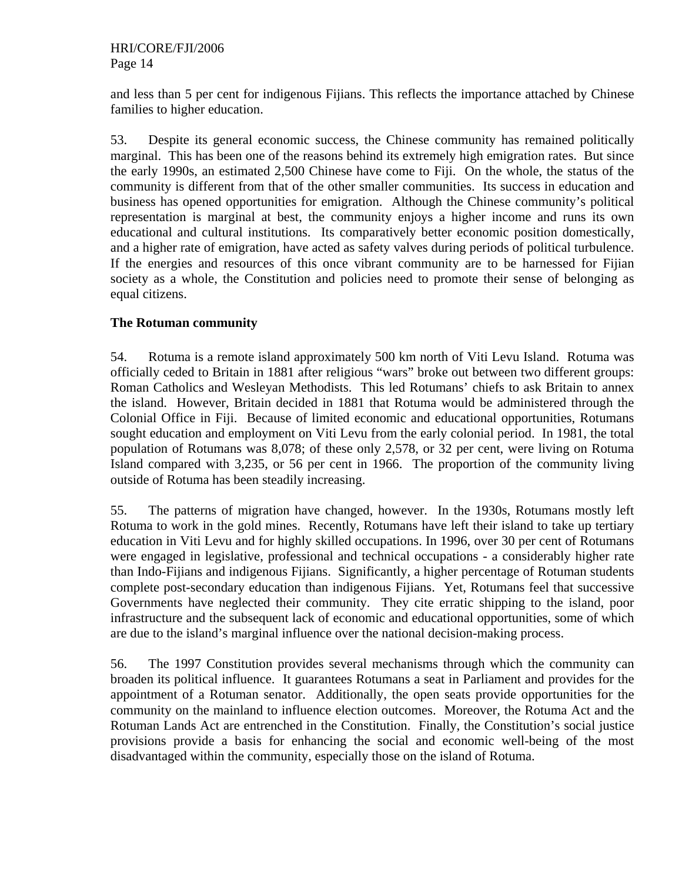and less than 5 per cent for indigenous Fijians. This reflects the importance attached by Chinese families to higher education.

53. Despite its general economic success, the Chinese community has remained politically marginal. This has been one of the reasons behind its extremely high emigration rates. But since the early 1990s, an estimated 2,500 Chinese have come to Fiji. On the whole, the status of the community is different from that of the other smaller communities. Its success in education and business has opened opportunities for emigration. Although the Chinese community's political representation is marginal at best, the community enjoys a higher income and runs its own educational and cultural institutions. Its comparatively better economic position domestically, and a higher rate of emigration, have acted as safety valves during periods of political turbulence. If the energies and resources of this once vibrant community are to be harnessed for Fijian society as a whole, the Constitution and policies need to promote their sense of belonging as equal citizens.

## **The Rotuman community**

54. Rotuma is a remote island approximately 500 km north of Viti Levu Island. Rotuma was officially ceded to Britain in 1881 after religious "wars" broke out between two different groups: Roman Catholics and Wesleyan Methodists. This led Rotumans' chiefs to ask Britain to annex the island. However, Britain decided in 1881 that Rotuma would be administered through the Colonial Office in Fiji. Because of limited economic and educational opportunities, Rotumans sought education and employment on Viti Levu from the early colonial period. In 1981, the total population of Rotumans was 8,078; of these only 2,578, or 32 per cent, were living on Rotuma Island compared with 3,235, or 56 per cent in 1966. The proportion of the community living outside of Rotuma has been steadily increasing.

55. The patterns of migration have changed, however. In the 1930s, Rotumans mostly left Rotuma to work in the gold mines. Recently, Rotumans have left their island to take up tertiary education in Viti Levu and for highly skilled occupations. In 1996, over 30 per cent of Rotumans were engaged in legislative, professional and technical occupations - a considerably higher rate than Indo-Fijians and indigenous Fijians. Significantly, a higher percentage of Rotuman students complete post-secondary education than indigenous Fijians. Yet, Rotumans feel that successive Governments have neglected their community. They cite erratic shipping to the island, poor infrastructure and the subsequent lack of economic and educational opportunities, some of which are due to the island's marginal influence over the national decision-making process.

56. The 1997 Constitution provides several mechanisms through which the community can broaden its political influence. It guarantees Rotumans a seat in Parliament and provides for the appointment of a Rotuman senator. Additionally, the open seats provide opportunities for the community on the mainland to influence election outcomes. Moreover, the Rotuma Act and the Rotuman Lands Act are entrenched in the Constitution. Finally, the Constitution's social justice provisions provide a basis for enhancing the social and economic well-being of the most disadvantaged within the community, especially those on the island of Rotuma.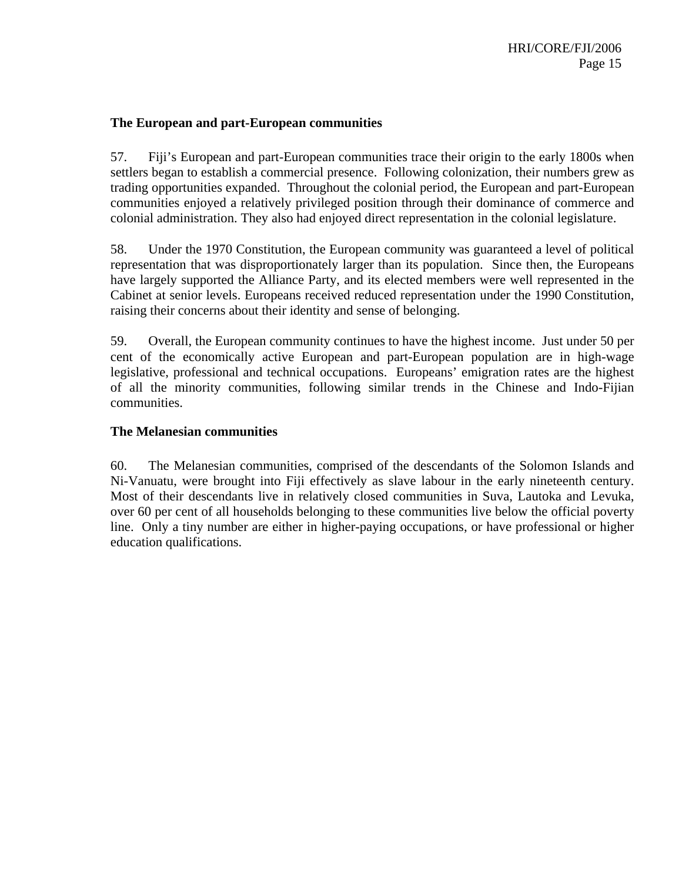#### **The European and part-European communities**

57. Fiji's European and part-European communities trace their origin to the early 1800s when settlers began to establish a commercial presence. Following colonization, their numbers grew as trading opportunities expanded. Throughout the colonial period, the European and part-European communities enjoyed a relatively privileged position through their dominance of commerce and colonial administration. They also had enjoyed direct representation in the colonial legislature.

58. Under the 1970 Constitution, the European community was guaranteed a level of political representation that was disproportionately larger than its population. Since then, the Europeans have largely supported the Alliance Party, and its elected members were well represented in the Cabinet at senior levels. Europeans received reduced representation under the 1990 Constitution, raising their concerns about their identity and sense of belonging.

59. Overall, the European community continues to have the highest income. Just under 50 per cent of the economically active European and part-European population are in high-wage legislative, professional and technical occupations. Europeans' emigration rates are the highest of all the minority communities, following similar trends in the Chinese and Indo-Fijian communities.

#### **The Melanesian communities**

60. The Melanesian communities, comprised of the descendants of the Solomon Islands and Ni-Vanuatu, were brought into Fiji effectively as slave labour in the early nineteenth century. Most of their descendants live in relatively closed communities in Suva, Lautoka and Levuka, over 60 per cent of all households belonging to these communities live below the official poverty line. Only a tiny number are either in higher-paying occupations, or have professional or higher education qualifications.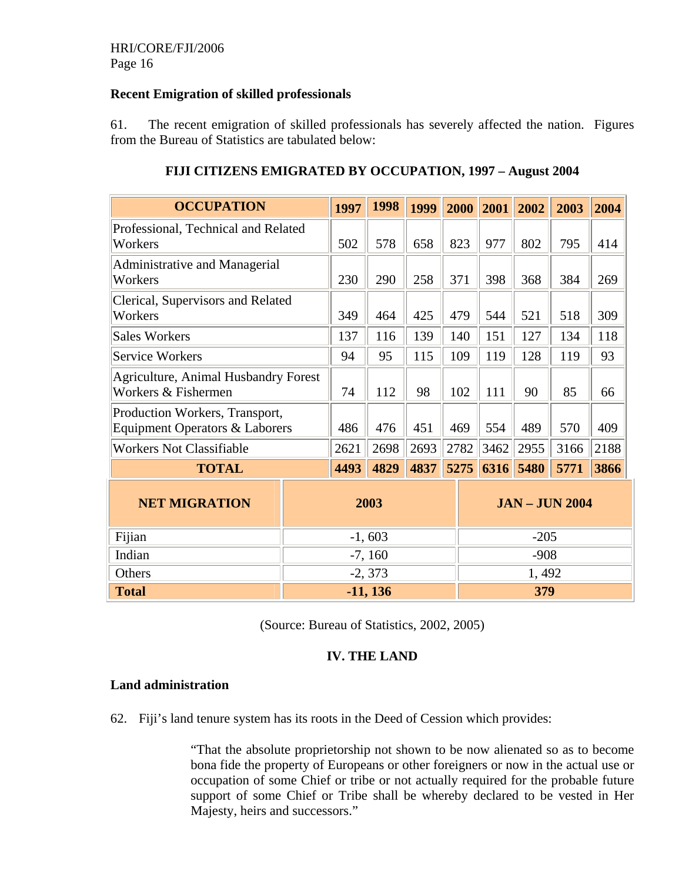#### **Recent Emigration of skilled professionals**

61. The recent emigration of skilled professionals has severely affected the nation. Figures from the Bureau of Statistics are tabulated below:

| <b>OCCUPATION</b>                                                           |          | 1997                        | 1998       | 1999 | 2000 | 2001   | 2002   | 2003 | 2004 |
|-----------------------------------------------------------------------------|----------|-----------------------------|------------|------|------|--------|--------|------|------|
| Professional, Technical and Related<br>Workers                              |          | 502                         | 578        | 658  | 823  | 977    | 802    | 795  | 414  |
| <b>Administrative and Managerial</b><br>Workers                             |          | 230                         | 290        | 258  | 371  | 398    | 368    | 384  | 269  |
| Clerical, Supervisors and Related<br>Workers                                |          | 349                         | 464        | 425  | 479  | 544    | 521    | 518  | 309  |
| <b>Sales Workers</b>                                                        |          | 137                         | 116        | 139  | 140  | 151    | 127    | 134  | 118  |
| <b>Service Workers</b>                                                      |          | 94                          | 95         | 115  | 109  | 119    | 128    | 119  | 93   |
| <b>Agriculture, Animal Husbandry Forest</b><br>Workers & Fishermen          |          | 74                          | 112        | 98   | 102  | 111    | 90     | 85   | 66   |
| Production Workers, Transport,<br><b>Equipment Operators &amp; Laborers</b> |          | 486                         | 476        | 451  | 469  | 554    | 489    | 570  | 409  |
| <b>Workers Not Classifiable</b>                                             |          | 2621                        | 2698       | 2693 | 2782 | 3462   | 2955   | 3166 | 2188 |
| <b>TOTAL</b>                                                                |          | 4493                        | 4829       | 4837 | 5275 | 6316   | 5480   | 5771 | 3866 |
| <b>NET MIGRATION</b>                                                        |          | 2003<br><b>JAN-JUN 2004</b> |            |      |      |        |        |      |      |
| Fijian                                                                      | $-1,603$ |                             |            |      |      |        | $-205$ |      |      |
| Indian                                                                      |          |                             | $-7, 160$  |      |      | $-908$ |        |      |      |
| Others                                                                      |          |                             | $-2, 373$  |      |      |        | 1,492  |      |      |
| <b>Total</b>                                                                |          |                             | $-11, 136$ |      |      |        | 379    |      |      |

## **FIJI CITIZENS EMIGRATED BY OCCUPATION, 1997 – August 2004**

(Source: Bureau of Statistics, 2002, 2005)

## **IV. THE LAND**

#### **Land administration**

62. Fiji's land tenure system has its roots in the Deed of Cession which provides:

"That the absolute proprietorship not shown to be now alienated so as to become bona fide the property of Europeans or other foreigners or now in the actual use or occupation of some Chief or tribe or not actually required for the probable future support of some Chief or Tribe shall be whereby declared to be vested in Her Majesty, heirs and successors."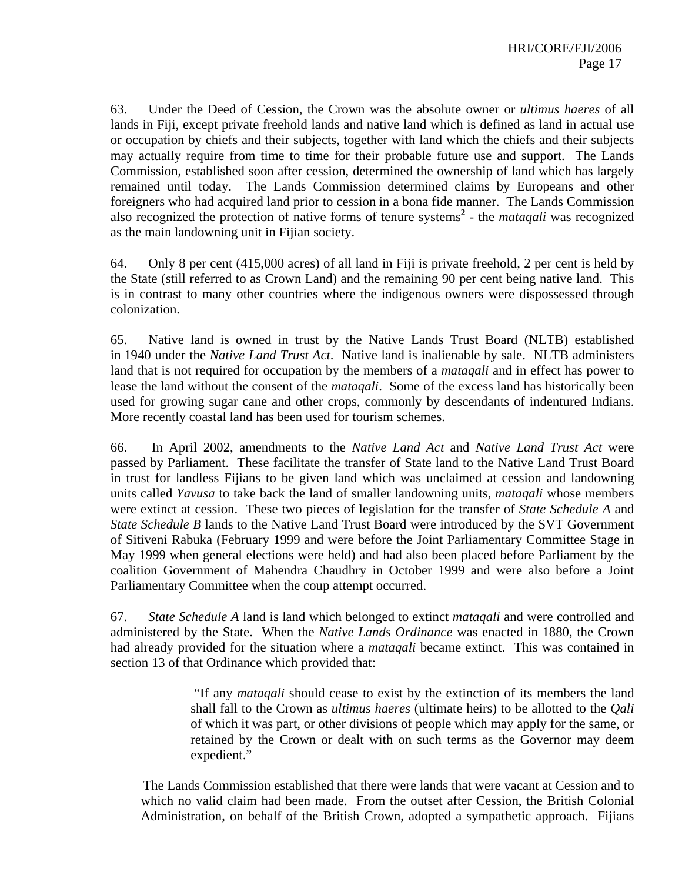63. Under the Deed of Cession, the Crown was the absolute owner or *ultimus haeres* of all lands in Fiji, except private freehold lands and native land which is defined as land in actual use or occupation by chiefs and their subjects, together with land which the chiefs and their subjects may actually require from time to time for their probable future use and support. The Lands Commission, established soon after cession, determined the ownership of land which has largely remained until today. The Lands Commission determined claims by Europeans and other foreigners who had acquired land prior to cession in a bona fide manner. The Lands Commission also recognized the protection of native forms of tenure systems<sup>2</sup> - the *mataqali* was recognized as the main landowning unit in Fijian society.

64. Only 8 per cent (415,000 acres) of all land in Fiji is private freehold, 2 per cent is held by the State (still referred to as Crown Land) and the remaining 90 per cent being native land. This is in contrast to many other countries where the indigenous owners were dispossessed through colonization.

65. Native land is owned in trust by the Native Lands Trust Board (NLTB) established in 1940 under the *Native Land Trust Act*. Native land is inalienable by sale. NLTB administers land that is not required for occupation by the members of a *mataqali* and in effect has power to lease the land without the consent of the *mataqali*. Some of the excess land has historically been used for growing sugar cane and other crops, commonly by descendants of indentured Indians. More recently coastal land has been used for tourism schemes.

66. In April 2002, amendments to the *Native Land Act* and *Native Land Trust Act* were passed by Parliament. These facilitate the transfer of State land to the Native Land Trust Board in trust for landless Fijians to be given land which was unclaimed at cession and landowning units called *Yavusa* to take back the land of smaller landowning units, *mataqali* whose members were extinct at cession. These two pieces of legislation for the transfer of *State Schedule A* and *State Schedule B* lands to the Native Land Trust Board were introduced by the SVT Government of Sitiveni Rabuka (February 1999 and were before the Joint Parliamentary Committee Stage in May 1999 when general elections were held) and had also been placed before Parliament by the coalition Government of Mahendra Chaudhry in October 1999 and were also before a Joint Parliamentary Committee when the coup attempt occurred.

67. *State Schedule A* land is land which belonged to extinct *mataqali* and were controlled and administered by the State. When the *Native Lands Ordinance* was enacted in 1880, the Crown had already provided for the situation where a *mataqali* became extinct. This was contained in section 13 of that Ordinance which provided that:

> "If any *mataqali* should cease to exist by the extinction of its members the land shall fall to the Crown as *ultimus haeres* (ultimate heirs) to be allotted to the *Qali* of which it was part, or other divisions of people which may apply for the same, or retained by the Crown or dealt with on such terms as the Governor may deem expedient."

The Lands Commission established that there were lands that were vacant at Cession and to which no valid claim had been made. From the outset after Cession, the British Colonial Administration, on behalf of the British Crown, adopted a sympathetic approach. Fijians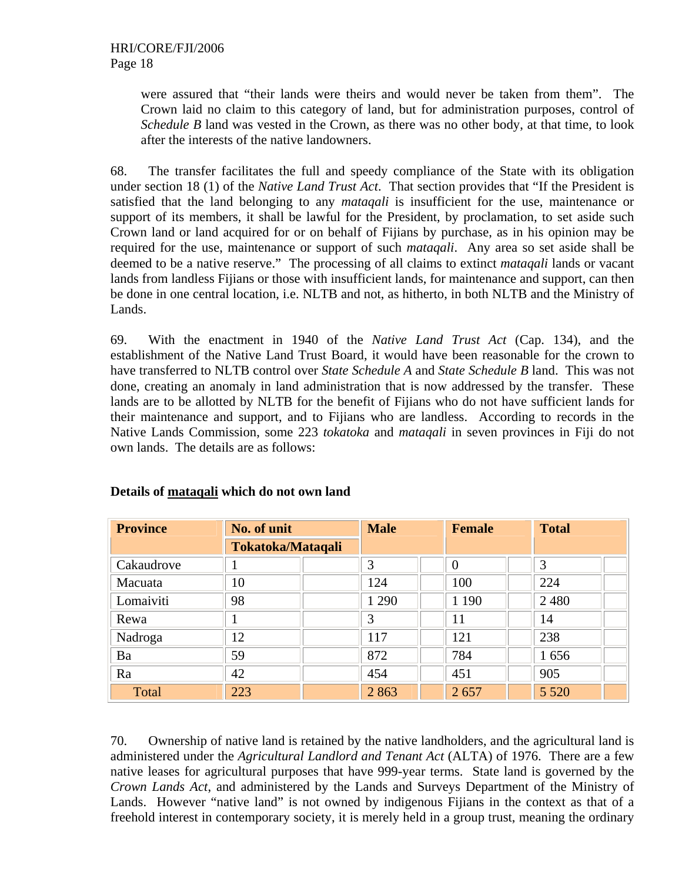were assured that "their lands were theirs and would never be taken from them". The Crown laid no claim to this category of land, but for administration purposes, control of *Schedule B* land was vested in the Crown, as there was no other body, at that time, to look after the interests of the native landowners.

68. The transfer facilitates the full and speedy compliance of the State with its obligation under section 18 (1) of the *Native Land Trust Act*. That section provides that "If the President is satisfied that the land belonging to any *mataqali* is insufficient for the use, maintenance or support of its members, it shall be lawful for the President, by proclamation, to set aside such Crown land or land acquired for or on behalf of Fijians by purchase, as in his opinion may be required for the use, maintenance or support of such *mataqali*. Any area so set aside shall be deemed to be a native reserve." The processing of all claims to extinct *mataqali* lands or vacant lands from landless Fijians or those with insufficient lands, for maintenance and support, can then be done in one central location, i.e. NLTB and not, as hitherto, in both NLTB and the Ministry of Lands.

69. With the enactment in 1940 of the *Native Land Trust Act* (Cap. 134), and the establishment of the Native Land Trust Board, it would have been reasonable for the crown to have transferred to NLTB control over *State Schedule A* and *State Schedule B* land. This was not done, creating an anomaly in land administration that is now addressed by the transfer. These lands are to be allotted by NLTB for the benefit of Fijians who do not have sufficient lands for their maintenance and support, and to Fijians who are landless. According to records in the Native Lands Commission, some 223 *tokatoka* and *mataqali* in seven provinces in Fiji do not own lands. The details are as follows:

| <b>Province</b> | No. of unit              | <b>Male</b> | <b>Female</b> | <b>Total</b> |  |
|-----------------|--------------------------|-------------|---------------|--------------|--|
|                 | <b>Tokatoka/Mataqali</b> |             |               |              |  |
| Cakaudrove      |                          | 3           | $\Omega$      | 3            |  |
| Macuata         | 10                       | 124         | 100           | 224          |  |
| Lomaiviti       | 98                       | 1 2 9 0     | 1 1 9 0       | 2 4 8 0      |  |
| Rewa            |                          | 3           | 11            | 14           |  |
| Nadroga         | 12                       | 117         | 121           | 238          |  |
| Ba              | 59                       | 872         | 784           | 1656         |  |
| Ra              | 42                       | 454         | 451           | 905          |  |
| Total           | 223                      | 2863        | 2657          | 5 5 2 0      |  |

## **Details of mataqali which do not own land**

70. Ownership of native land is retained by the native landholders, and the agricultural land is administered under the *Agricultural Landlord and Tenant Act* (ALTA) of 1976. There are a few native leases for agricultural purposes that have 999-year terms. State land is governed by the *Crown Lands Act*, and administered by the Lands and Surveys Department of the Ministry of Lands. However "native land" is not owned by indigenous Fijians in the context as that of a freehold interest in contemporary society, it is merely held in a group trust, meaning the ordinary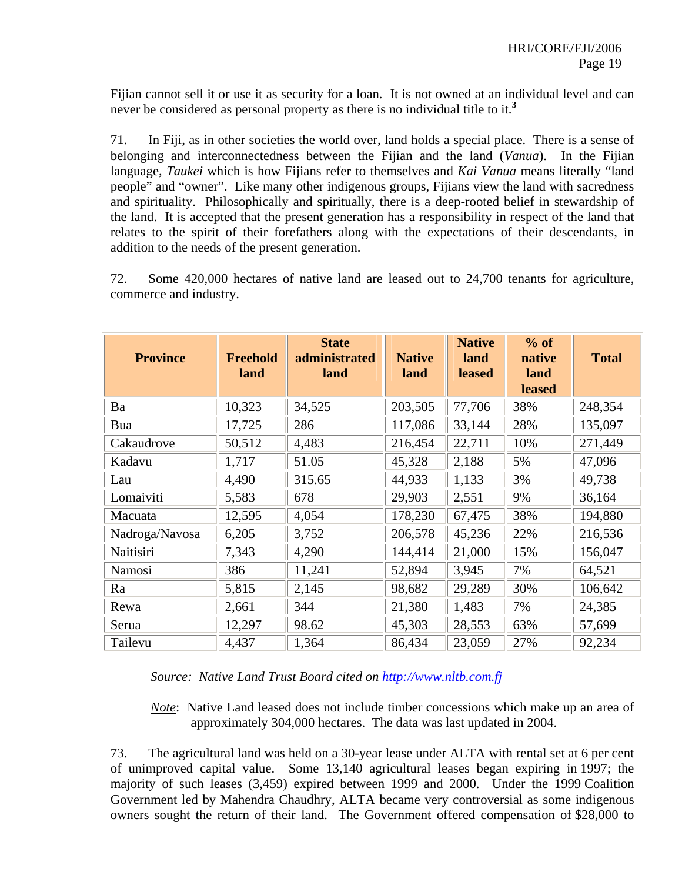Fijian cannot sell it or use it as security for a loan. It is not owned at an individual level and can never be considered as personal property as there is no individual title to it.**<sup>3</sup>**

71. In Fiji, as in other societies the world over, land holds a special place. There is a sense of belonging and interconnectedness between the Fijian and the land (*Vanua*). In the Fijian language, *Taukei* which is how Fijians refer to themselves and *Kai Vanua* means literally "land people" and "owner". Like many other indigenous groups, Fijians view the land with sacredness and spirituality. Philosophically and spiritually, there is a deep-rooted belief in stewardship of the land. It is accepted that the present generation has a responsibility in respect of the land that relates to the spirit of their forefathers along with the expectations of their descendants, in addition to the needs of the present generation.

72. Some 420,000 hectares of native land are leased out to 24,700 tenants for agriculture, commerce and industry.

| <b>Province</b> | <b>Freehold</b><br>land | <b>State</b><br>administrated<br>land | <b>Native</b><br>land | <b>Native</b><br>land<br><b>leased</b> | % of<br>native<br>land<br><b>leased</b> | <b>Total</b> |
|-----------------|-------------------------|---------------------------------------|-----------------------|----------------------------------------|-----------------------------------------|--------------|
| Ba              | 10,323                  | 34,525                                | 203,505               | 77,706                                 | 38%                                     | 248,354      |
| Bua             | 17,725                  | 286                                   | 117,086               | 33,144                                 | 28%                                     | 135,097      |
| Cakaudrove      | 50,512                  | 4,483                                 | 216,454               | 22,711                                 | 10%                                     | 271,449      |
| Kadavu          | 1,717                   | 51.05                                 | 45,328                | 2,188                                  | 5%                                      | 47,096       |
| Lau             | 4,490                   | 315.65                                | 44,933                | 1,133                                  | 3%                                      | 49,738       |
| Lomaiviti       | 5,583                   | 678                                   | 29,903                | 2,551                                  | 9%                                      | 36,164       |
| Macuata         | 12,595                  | 4,054                                 | 178,230               | 67,475                                 | 38%                                     | 194,880      |
| Nadroga/Navosa  | 6,205                   | 3,752                                 | 206,578               | 45,236                                 | 22%                                     | 216,536      |
| Naitisiri       | 7,343                   | 4,290                                 | 144,414               | 21,000                                 | 15%                                     | 156,047      |
| Namosi          | 386                     | 11,241                                | 52,894                | 3,945                                  | 7%                                      | 64,521       |
| Ra              | 5,815                   | 2,145                                 | 98,682                | 29,289                                 | 30%                                     | 106,642      |
| Rewa            | 2,661                   | 344                                   | 21,380                | 1,483                                  | 7%                                      | 24,385       |
| Serua           | 12,297                  | 98.62                                 | 45,303                | 28,553                                 | 63%                                     | 57,699       |
| Tailevu         | 4,437                   | 1,364                                 | 86,434                | 23,059                                 | 27%                                     | 92,234       |

*Source: Native Land Trust Board cited on http://www.nltb.com.fj*

*Note*: Native Land leased does not include timber concessions which make up an area of approximately 304,000 hectares. The data was last updated in 2004.

73. The agricultural land was held on a 30-year lease under ALTA with rental set at 6 per cent of unimproved capital value. Some 13,140 agricultural leases began expiring in 1997; the majority of such leases (3,459) expired between 1999 and 2000. Under the 1999 Coalition Government led by Mahendra Chaudhry, ALTA became very controversial as some indigenous owners sought the return of their land. The Government offered compensation of \$28,000 to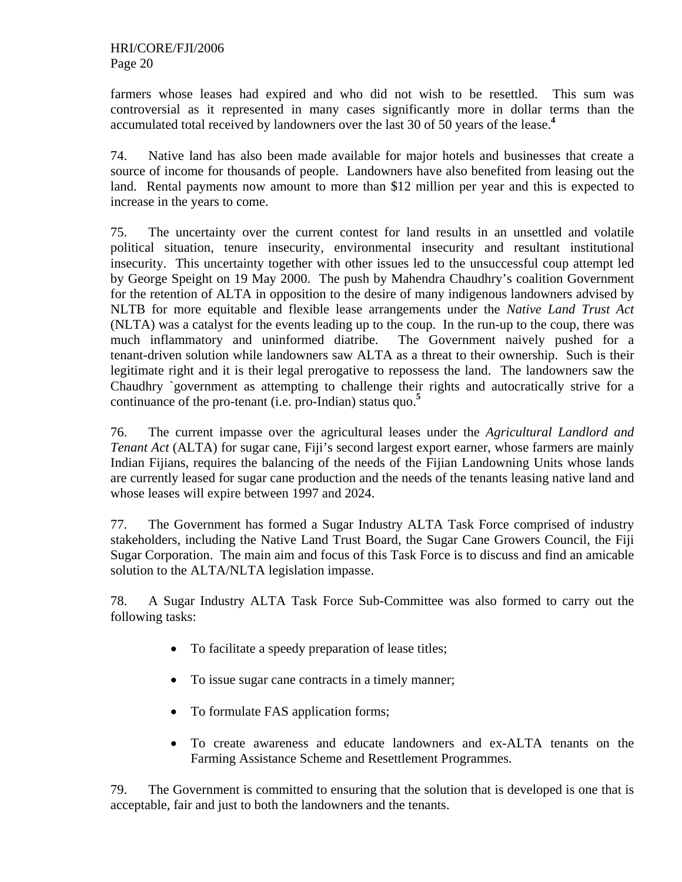farmers whose leases had expired and who did not wish to be resettled. This sum was controversial as it represented in many cases significantly more in dollar terms than the accumulated total received by landowners over the last 30 of 50 years of the lease.**<sup>4</sup>**

74. Native land has also been made available for major hotels and businesses that create a source of income for thousands of people. Landowners have also benefited from leasing out the land. Rental payments now amount to more than \$12 million per year and this is expected to increase in the years to come.

75. The uncertainty over the current contest for land results in an unsettled and volatile political situation, tenure insecurity, environmental insecurity and resultant institutional insecurity. This uncertainty together with other issues led to the unsuccessful coup attempt led by George Speight on 19 May 2000. The push by Mahendra Chaudhry's coalition Government for the retention of ALTA in opposition to the desire of many indigenous landowners advised by NLTB for more equitable and flexible lease arrangements under the *Native Land Trust Act* (NLTA) was a catalyst for the events leading up to the coup. In the run-up to the coup, there was much inflammatory and uninformed diatribe. The Government naively pushed for a tenant-driven solution while landowners saw ALTA as a threat to their ownership. Such is their legitimate right and it is their legal prerogative to repossess the land. The landowners saw the Chaudhry `government as attempting to challenge their rights and autocratically strive for a continuance of the pro-tenant (i.e. pro-Indian) status quo.**<sup>5</sup>**

76. The current impasse over the agricultural leases under the *Agricultural Landlord and Tenant Act* (ALTA) for sugar cane, Fiji's second largest export earner, whose farmers are mainly Indian Fijians, requires the balancing of the needs of the Fijian Landowning Units whose lands are currently leased for sugar cane production and the needs of the tenants leasing native land and whose leases will expire between 1997 and 2024.

77. The Government has formed a Sugar Industry ALTA Task Force comprised of industry stakeholders, including the Native Land Trust Board, the Sugar Cane Growers Council, the Fiji Sugar Corporation. The main aim and focus of this Task Force is to discuss and find an amicable solution to the ALTA/NLTA legislation impasse.

78. A Sugar Industry ALTA Task Force Sub-Committee was also formed to carry out the following tasks:

- To facilitate a speedy preparation of lease titles;
- To issue sugar cane contracts in a timely manner;
- To formulate FAS application forms;
- To create awareness and educate landowners and ex-ALTA tenants on the Farming Assistance Scheme and Resettlement Programmes.

79. The Government is committed to ensuring that the solution that is developed is one that is acceptable, fair and just to both the landowners and the tenants.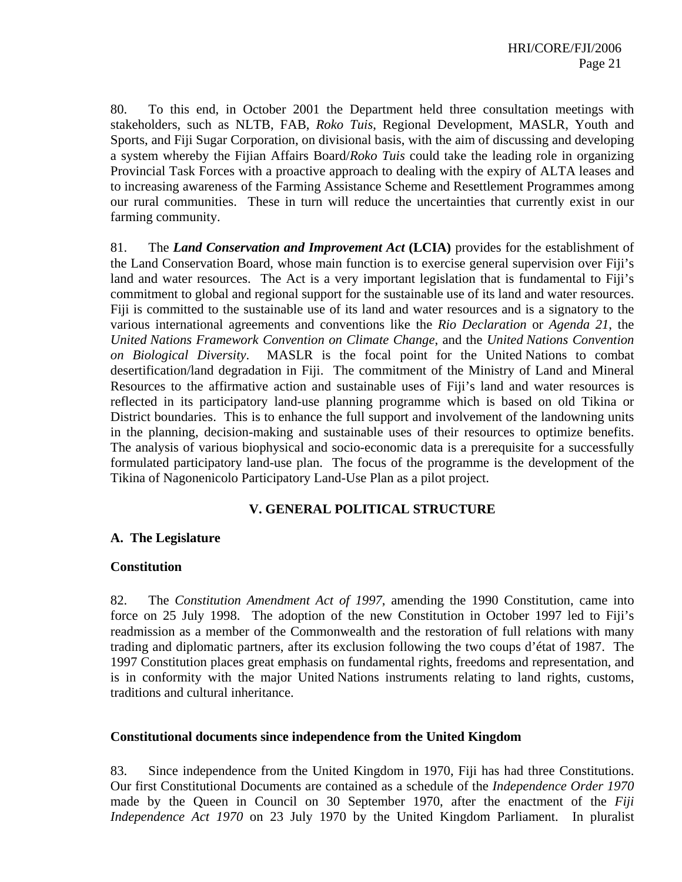80. To this end, in October 2001 the Department held three consultation meetings with stakeholders, such as NLTB, FAB, *Roko Tuis*, Regional Development, MASLR, Youth and Sports, and Fiji Sugar Corporation, on divisional basis, with the aim of discussing and developing a system whereby the Fijian Affairs Board/*Roko Tuis* could take the leading role in organizing Provincial Task Forces with a proactive approach to dealing with the expiry of ALTA leases and to increasing awareness of the Farming Assistance Scheme and Resettlement Programmes among our rural communities. These in turn will reduce the uncertainties that currently exist in our farming community.

81. The *Land Conservation and Improvement Act* **(LCIA)** provides for the establishment of the Land Conservation Board, whose main function is to exercise general supervision over Fiji's land and water resources. The Act is a very important legislation that is fundamental to Fiji's commitment to global and regional support for the sustainable use of its land and water resources. Fiji is committed to the sustainable use of its land and water resources and is a signatory to the various international agreements and conventions like the *Rio Declaration* or *Agenda 21*, the *United Nations Framework Convention on Climate Change*, and the *United Nations Convention on Biological Diversity*. MASLR is the focal point for the United Nations to combat desertification/land degradation in Fiji. The commitment of the Ministry of Land and Mineral Resources to the affirmative action and sustainable uses of Fiji's land and water resources is reflected in its participatory land-use planning programme which is based on old Tikina or District boundaries. This is to enhance the full support and involvement of the landowning units in the planning, decision-making and sustainable uses of their resources to optimize benefits. The analysis of various biophysical and socio-economic data is a prerequisite for a successfully formulated participatory land-use plan. The focus of the programme is the development of the Tikina of Nagonenicolo Participatory Land-Use Plan as a pilot project.

#### **V. GENERAL POLITICAL STRUCTURE**

#### **A. The Legislature**

#### **Constitution**

82. The *Constitution Amendment Act of 1997*, amending the 1990 Constitution, came into force on 25 July 1998. The adoption of the new Constitution in October 1997 led to Fiji's readmission as a member of the Commonwealth and the restoration of full relations with many trading and diplomatic partners, after its exclusion following the two coups d'état of 1987. The 1997 Constitution places great emphasis on fundamental rights, freedoms and representation, and is in conformity with the major United Nations instruments relating to land rights, customs, traditions and cultural inheritance.

#### **Constitutional documents since independence from the United Kingdom**

83. Since independence from the United Kingdom in 1970, Fiji has had three Constitutions. Our first Constitutional Documents are contained as a schedule of the *Independence Order 1970* made by the Queen in Council on 30 September 1970, after the enactment of the *Fiji Independence Act 1970* on 23 July 1970 by the United Kingdom Parliament. In pluralist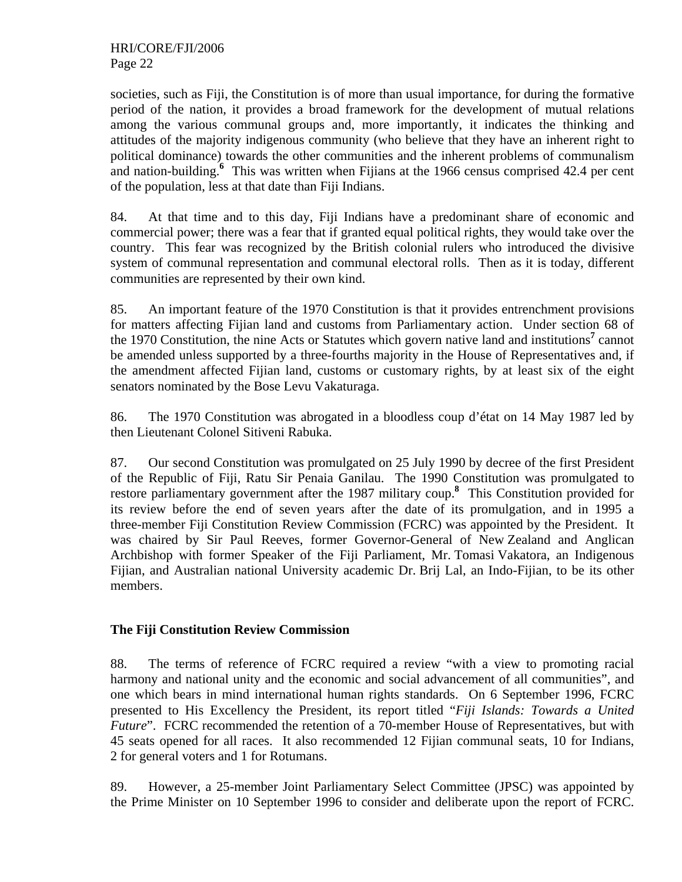societies, such as Fiji, the Constitution is of more than usual importance, for during the formative period of the nation, it provides a broad framework for the development of mutual relations among the various communal groups and, more importantly, it indicates the thinking and attitudes of the majority indigenous community (who believe that they have an inherent right to political dominance) towards the other communities and the inherent problems of communalism and nation-building.<sup>6</sup> This was written when Fijians at the 1966 census comprised 42.4 per cent of the population, less at that date than Fiji Indians.

84. At that time and to this day, Fiji Indians have a predominant share of economic and commercial power; there was a fear that if granted equal political rights, they would take over the country. This fear was recognized by the British colonial rulers who introduced the divisive system of communal representation and communal electoral rolls. Then as it is today, different communities are represented by their own kind.

85. An important feature of the 1970 Constitution is that it provides entrenchment provisions for matters affecting Fijian land and customs from Parliamentary action. Under section 68 of the 1970 Constitution, the nine Acts or Statutes which govern native land and institutions**<sup>7</sup>** cannot be amended unless supported by a three-fourths majority in the House of Representatives and, if the amendment affected Fijian land, customs or customary rights, by at least six of the eight senators nominated by the Bose Levu Vakaturaga.

86. The 1970 Constitution was abrogated in a bloodless coup d'état on 14 May 1987 led by then Lieutenant Colonel Sitiveni Rabuka.

87. Our second Constitution was promulgated on 25 July 1990 by decree of the first President of the Republic of Fiji, Ratu Sir Penaia Ganilau. The 1990 Constitution was promulgated to restore parliamentary government after the 1987 military coup.**<sup>8</sup>** This Constitution provided for its review before the end of seven years after the date of its promulgation, and in 1995 a three-member Fiji Constitution Review Commission (FCRC) was appointed by the President. It was chaired by Sir Paul Reeves, former Governor-General of New Zealand and Anglican Archbishop with former Speaker of the Fiji Parliament, Mr. Tomasi Vakatora, an Indigenous Fijian, and Australian national University academic Dr. Brij Lal, an Indo-Fijian, to be its other members.

#### **The Fiji Constitution Review Commission**

88. The terms of reference of FCRC required a review "with a view to promoting racial harmony and national unity and the economic and social advancement of all communities", and one which bears in mind international human rights standards. On 6 September 1996, FCRC presented to His Excellency the President, its report titled "*Fiji Islands: Towards a United Future*". FCRC recommended the retention of a 70-member House of Representatives, but with 45 seats opened for all races. It also recommended 12 Fijian communal seats, 10 for Indians, 2 for general voters and 1 for Rotumans.

89. However, a 25-member Joint Parliamentary Select Committee (JPSC) was appointed by the Prime Minister on 10 September 1996 to consider and deliberate upon the report of FCRC.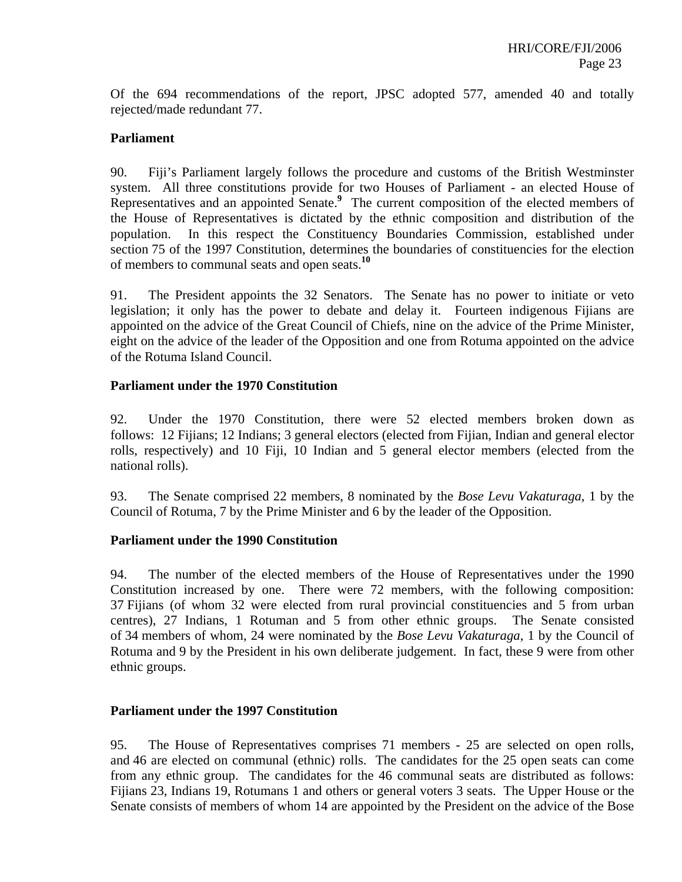Of the 694 recommendations of the report, JPSC adopted 577, amended 40 and totally rejected/made redundant 77.

#### **Parliament**

90. Fiji's Parliament largely follows the procedure and customs of the British Westminster system. All three constitutions provide for two Houses of Parliament - an elected House of Representatives and an appointed Senate.**<sup>9</sup>** The current composition of the elected members of the House of Representatives is dictated by the ethnic composition and distribution of the population. In this respect the Constituency Boundaries Commission, established under section 75 of the 1997 Constitution, determines the boundaries of constituencies for the election of members to communal seats and open seats.**<sup>10</sup>**

91. The President appoints the 32 Senators. The Senate has no power to initiate or veto legislation; it only has the power to debate and delay it. Fourteen indigenous Fijians are appointed on the advice of the Great Council of Chiefs, nine on the advice of the Prime Minister, eight on the advice of the leader of the Opposition and one from Rotuma appointed on the advice of the Rotuma Island Council.

#### **Parliament under the 1970 Constitution**

92. Under the 1970 Constitution, there were 52 elected members broken down as follows: 12 Fijians; 12 Indians; 3 general electors (elected from Fijian, Indian and general elector rolls, respectively) and 10 Fiji, 10 Indian and 5 general elector members (elected from the national rolls).

93. The Senate comprised 22 members, 8 nominated by the *Bose Levu Vakaturaga*, 1 by the Council of Rotuma, 7 by the Prime Minister and 6 by the leader of the Opposition.

#### **Parliament under the 1990 Constitution**

94. The number of the elected members of the House of Representatives under the 1990 Constitution increased by one. There were 72 members, with the following composition: 37 Fijians (of whom 32 were elected from rural provincial constituencies and 5 from urban centres), 27 Indians, 1 Rotuman and 5 from other ethnic groups. The Senate consisted of 34 members of whom, 24 were nominated by the *Bose Levu Vakaturaga*, 1 by the Council of Rotuma and 9 by the President in his own deliberate judgement. In fact, these 9 were from other ethnic groups.

#### **Parliament under the 1997 Constitution**

95. The House of Representatives comprises 71 members - 25 are selected on open rolls, and 46 are elected on communal (ethnic) rolls. The candidates for the 25 open seats can come from any ethnic group. The candidates for the 46 communal seats are distributed as follows: Fijians 23, Indians 19, Rotumans 1 and others or general voters 3 seats. The Upper House or the Senate consists of members of whom 14 are appointed by the President on the advice of the Bose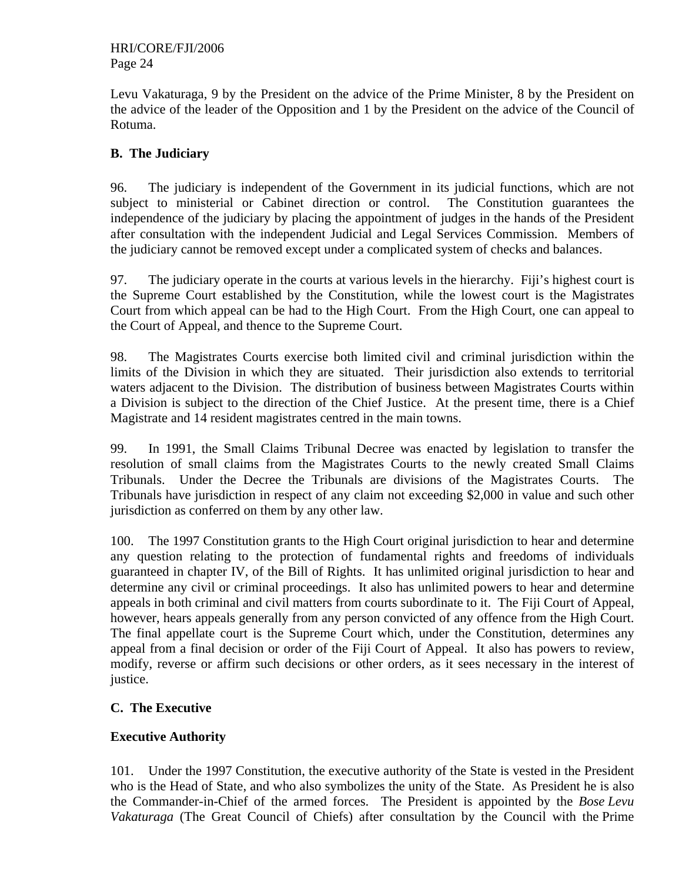Levu Vakaturaga, 9 by the President on the advice of the Prime Minister, 8 by the President on the advice of the leader of the Opposition and 1 by the President on the advice of the Council of Rotuma.

## **B. The Judiciary**

96. The judiciary is independent of the Government in its judicial functions, which are not subject to ministerial or Cabinet direction or control. The Constitution guarantees the independence of the judiciary by placing the appointment of judges in the hands of the President after consultation with the independent Judicial and Legal Services Commission. Members of the judiciary cannot be removed except under a complicated system of checks and balances.

97. The judiciary operate in the courts at various levels in the hierarchy. Fiji's highest court is the Supreme Court established by the Constitution, while the lowest court is the Magistrates Court from which appeal can be had to the High Court. From the High Court, one can appeal to the Court of Appeal, and thence to the Supreme Court.

98. The Magistrates Courts exercise both limited civil and criminal jurisdiction within the limits of the Division in which they are situated. Their jurisdiction also extends to territorial waters adjacent to the Division. The distribution of business between Magistrates Courts within a Division is subject to the direction of the Chief Justice. At the present time, there is a Chief Magistrate and 14 resident magistrates centred in the main towns.

99. In 1991, the Small Claims Tribunal Decree was enacted by legislation to transfer the resolution of small claims from the Magistrates Courts to the newly created Small Claims Tribunals. Under the Decree the Tribunals are divisions of the Magistrates Courts. The Tribunals have jurisdiction in respect of any claim not exceeding \$2,000 in value and such other jurisdiction as conferred on them by any other law.

100. The 1997 Constitution grants to the High Court original jurisdiction to hear and determine any question relating to the protection of fundamental rights and freedoms of individuals guaranteed in chapter IV, of the Bill of Rights. It has unlimited original jurisdiction to hear and determine any civil or criminal proceedings. It also has unlimited powers to hear and determine appeals in both criminal and civil matters from courts subordinate to it. The Fiji Court of Appeal, however, hears appeals generally from any person convicted of any offence from the High Court. The final appellate court is the Supreme Court which, under the Constitution, determines any appeal from a final decision or order of the Fiji Court of Appeal. It also has powers to review, modify, reverse or affirm such decisions or other orders, as it sees necessary in the interest of justice.

## **C. The Executive**

## **Executive Authority**

101. Under the 1997 Constitution, the executive authority of the State is vested in the President who is the Head of State, and who also symbolizes the unity of the State. As President he is also the Commander-in-Chief of the armed forces. The President is appointed by the *Bose Levu Vakaturaga* (The Great Council of Chiefs) after consultation by the Council with the Prime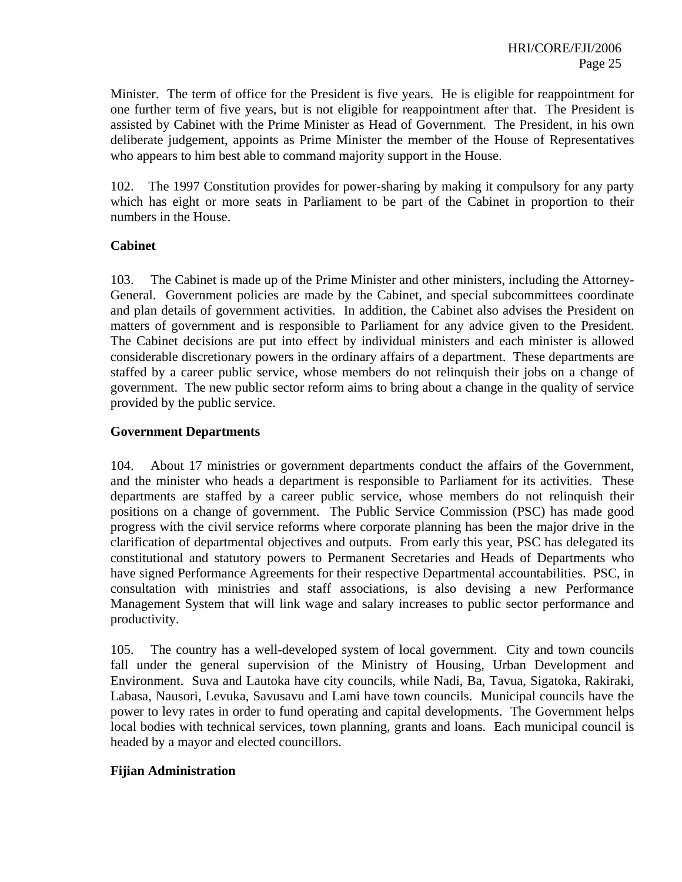Minister. The term of office for the President is five years. He is eligible for reappointment for one further term of five years, but is not eligible for reappointment after that. The President is assisted by Cabinet with the Prime Minister as Head of Government. The President, in his own deliberate judgement, appoints as Prime Minister the member of the House of Representatives who appears to him best able to command majority support in the House.

102. The 1997 Constitution provides for power-sharing by making it compulsory for any party which has eight or more seats in Parliament to be part of the Cabinet in proportion to their numbers in the House.

#### **Cabinet**

103. The Cabinet is made up of the Prime Minister and other ministers, including the Attorney-General. Government policies are made by the Cabinet, and special subcommittees coordinate and plan details of government activities. In addition, the Cabinet also advises the President on matters of government and is responsible to Parliament for any advice given to the President. The Cabinet decisions are put into effect by individual ministers and each minister is allowed considerable discretionary powers in the ordinary affairs of a department. These departments are staffed by a career public service, whose members do not relinquish their jobs on a change of government. The new public sector reform aims to bring about a change in the quality of service provided by the public service.

#### **Government Departments**

104. About 17 ministries or government departments conduct the affairs of the Government, and the minister who heads a department is responsible to Parliament for its activities. These departments are staffed by a career public service, whose members do not relinquish their positions on a change of government. The Public Service Commission (PSC) has made good progress with the civil service reforms where corporate planning has been the major drive in the clarification of departmental objectives and outputs. From early this year, PSC has delegated its constitutional and statutory powers to Permanent Secretaries and Heads of Departments who have signed Performance Agreements for their respective Departmental accountabilities. PSC, in consultation with ministries and staff associations, is also devising a new Performance Management System that will link wage and salary increases to public sector performance and productivity.

105. The country has a well-developed system of local government. City and town councils fall under the general supervision of the Ministry of Housing, Urban Development and Environment. Suva and Lautoka have city councils, while Nadi, Ba, Tavua, Sigatoka, Rakiraki, Labasa, Nausori, Levuka, Savusavu and Lami have town councils. Municipal councils have the power to levy rates in order to fund operating and capital developments. The Government helps local bodies with technical services, town planning, grants and loans. Each municipal council is headed by a mayor and elected councillors.

#### **Fijian Administration**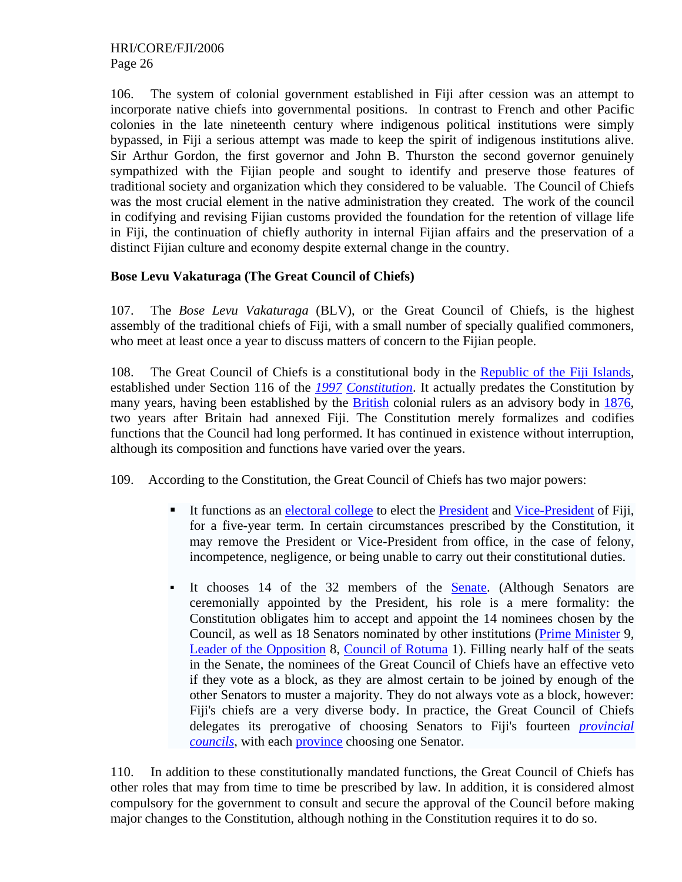106. The system of colonial government established in Fiji after cession was an attempt to incorporate native chiefs into governmental positions. In contrast to French and other Pacific colonies in the late nineteenth century where indigenous political institutions were simply bypassed, in Fiji a serious attempt was made to keep the spirit of indigenous institutions alive. Sir Arthur Gordon, the first governor and John B. Thurston the second governor genuinely sympathized with the Fijian people and sought to identify and preserve those features of traditional society and organization which they considered to be valuable. The Council of Chiefs was the most crucial element in the native administration they created. The work of the council in codifying and revising Fijian customs provided the foundation for the retention of village life in Fiji, the continuation of chiefly authority in internal Fijian affairs and the preservation of a distinct Fijian culture and economy despite external change in the country.

## **Bose Levu Vakaturaga (The Great Council of Chiefs)**

107. The *Bose Levu Vakaturaga* (BLV), or the Great Council of Chiefs, is the highest assembly of the traditional chiefs of Fiji, with a small number of specially qualified commoners, who meet at least once a year to discuss matters of concern to the Fijian people.

108. The Great Council of Chiefs is a constitutional body in the Republic of the Fiji Islands, established under Section 116 of the *1997 Constitution*. It actually predates the Constitution by many years, having been established by the British colonial rulers as an advisory body in 1876, two years after Britain had annexed Fiji. The Constitution merely formalizes and codifies functions that the Council had long performed. It has continued in existence without interruption, although its composition and functions have varied over the years.

109. According to the Constitution, the Great Council of Chiefs has two major powers:

- It functions as an electoral college to elect the President and Vice-President of Fiji, for a five-year term. In certain circumstances prescribed by the Constitution, it may remove the President or Vice-President from office, in the case of felony, incompetence, negligence, or being unable to carry out their constitutional duties.
- It chooses 14 of the 32 members of the **Senate**. (Although Senators are ceremonially appointed by the President, his role is a mere formality: the Constitution obligates him to accept and appoint the 14 nominees chosen by the Council, as well as 18 Senators nominated by other institutions (Prime Minister 9, Leader of the Opposition 8, Council of Rotuma 1). Filling nearly half of the seats in the Senate, the nominees of the Great Council of Chiefs have an effective veto if they vote as a block, as they are almost certain to be joined by enough of the other Senators to muster a majority. They do not always vote as a block, however: Fiji's chiefs are a very diverse body. In practice, the Great Council of Chiefs delegates its prerogative of choosing Senators to Fiji's fourteen *provincial councils*, with each province choosing one Senator.

110. In addition to these constitutionally mandated functions, the Great Council of Chiefs has other roles that may from time to time be prescribed by law. In addition, it is considered almost compulsory for the government to consult and secure the approval of the Council before making major changes to the Constitution, although nothing in the Constitution requires it to do so.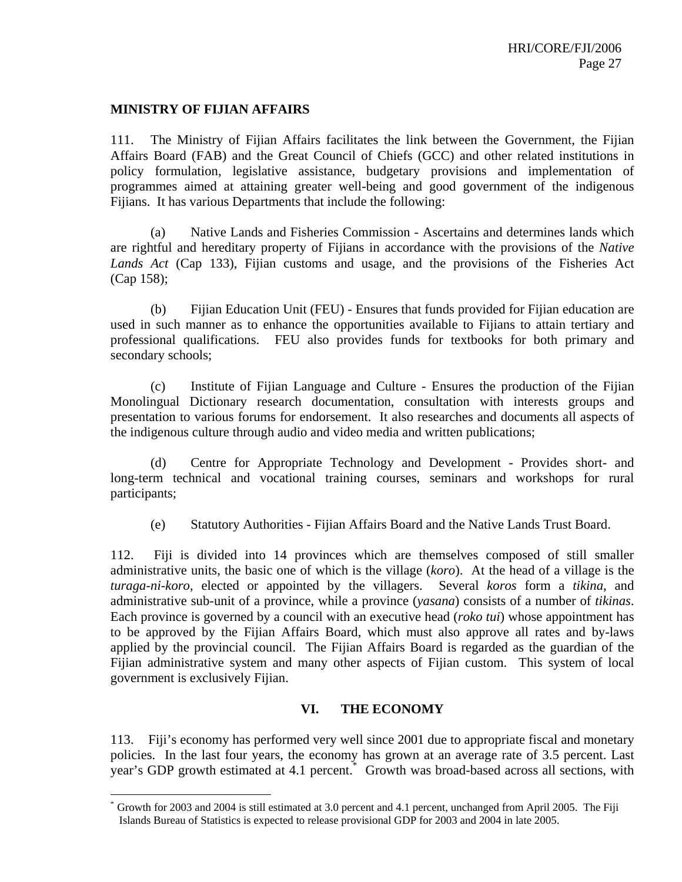#### **MINISTRY OF FIJIAN AFFAIRS**

1

111. The Ministry of Fijian Affairs facilitates the link between the Government, the Fijian Affairs Board (FAB) and the Great Council of Chiefs (GCC) and other related institutions in policy formulation, legislative assistance, budgetary provisions and implementation of programmes aimed at attaining greater well-being and good government of the indigenous Fijians. It has various Departments that include the following:

 (a) Native Lands and Fisheries Commission - Ascertains and determines lands which are rightful and hereditary property of Fijians in accordance with the provisions of the *Native Lands Act* (Cap 133), Fijian customs and usage, and the provisions of the Fisheries Act (Cap 158);

 (b) Fijian Education Unit (FEU) - Ensures that funds provided for Fijian education are used in such manner as to enhance the opportunities available to Fijians to attain tertiary and professional qualifications. FEU also provides funds for textbooks for both primary and secondary schools;

 (c) Institute of Fijian Language and Culture - Ensures the production of the Fijian Monolingual Dictionary research documentation, consultation with interests groups and presentation to various forums for endorsement. It also researches and documents all aspects of the indigenous culture through audio and video media and written publications;

 (d) Centre for Appropriate Technology and Development - Provides short- and long-term technical and vocational training courses, seminars and workshops for rural participants;

(e) Statutory Authorities - Fijian Affairs Board and the Native Lands Trust Board.

112. Fiji is divided into 14 provinces which are themselves composed of still smaller administrative units, the basic one of which is the village (*koro*). At the head of a village is the *turaga-ni-koro*, elected or appointed by the villagers. Several *koros* form a *tikina*, and administrative sub-unit of a province, while a province (*yasana*) consists of a number of *tikinas*. Each province is governed by a council with an executive head (*roko tui*) whose appointment has to be approved by the Fijian Affairs Board, which must also approve all rates and by-laws applied by the provincial council. The Fijian Affairs Board is regarded as the guardian of the Fijian administrative system and many other aspects of Fijian custom. This system of local government is exclusively Fijian.

#### **VI. THE ECONOMY**

113. Fiji's economy has performed very well since 2001 due to appropriate fiscal and monetary policies. In the last four years, the economy has grown at an average rate of 3.5 percent. Last year's GDP growth estimated at 4.1 percent.<sup>\*</sup> Growth was broad-based across all sections, with

Growth for 2003 and 2004 is still estimated at 3.0 percent and 4.1 percent, unchanged from April 2005. The Fiji Islands Bureau of Statistics is expected to release provisional GDP for 2003 and 2004 in late 2005.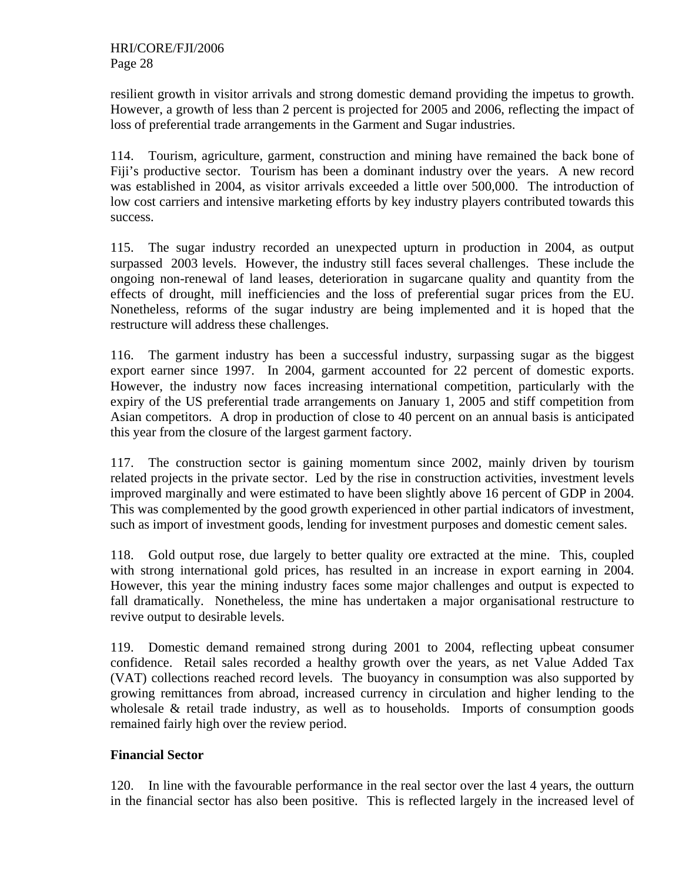resilient growth in visitor arrivals and strong domestic demand providing the impetus to growth. However, a growth of less than 2 percent is projected for 2005 and 2006, reflecting the impact of loss of preferential trade arrangements in the Garment and Sugar industries.

114. Tourism, agriculture, garment, construction and mining have remained the back bone of Fiji's productive sector. Tourism has been a dominant industry over the years. A new record was established in 2004, as visitor arrivals exceeded a little over 500,000. The introduction of low cost carriers and intensive marketing efforts by key industry players contributed towards this success.

115. The sugar industry recorded an unexpected upturn in production in 2004, as output surpassed 2003 levels. However, the industry still faces several challenges. These include the ongoing non-renewal of land leases, deterioration in sugarcane quality and quantity from the effects of drought, mill inefficiencies and the loss of preferential sugar prices from the EU. Nonetheless, reforms of the sugar industry are being implemented and it is hoped that the restructure will address these challenges.

116. The garment industry has been a successful industry, surpassing sugar as the biggest export earner since 1997. In 2004, garment accounted for 22 percent of domestic exports. However, the industry now faces increasing international competition, particularly with the expiry of the US preferential trade arrangements on January 1, 2005 and stiff competition from Asian competitors. A drop in production of close to 40 percent on an annual basis is anticipated this year from the closure of the largest garment factory.

117. The construction sector is gaining momentum since 2002, mainly driven by tourism related projects in the private sector. Led by the rise in construction activities, investment levels improved marginally and were estimated to have been slightly above 16 percent of GDP in 2004. This was complemented by the good growth experienced in other partial indicators of investment, such as import of investment goods, lending for investment purposes and domestic cement sales.

118. Gold output rose, due largely to better quality ore extracted at the mine. This, coupled with strong international gold prices, has resulted in an increase in export earning in 2004. However, this year the mining industry faces some major challenges and output is expected to fall dramatically. Nonetheless, the mine has undertaken a major organisational restructure to revive output to desirable levels.

119. Domestic demand remained strong during 2001 to 2004, reflecting upbeat consumer confidence. Retail sales recorded a healthy growth over the years, as net Value Added Tax (VAT) collections reached record levels. The buoyancy in consumption was also supported by growing remittances from abroad, increased currency in circulation and higher lending to the wholesale & retail trade industry, as well as to households. Imports of consumption goods remained fairly high over the review period.

## **Financial Sector**

120. In line with the favourable performance in the real sector over the last 4 years, the outturn in the financial sector has also been positive. This is reflected largely in the increased level of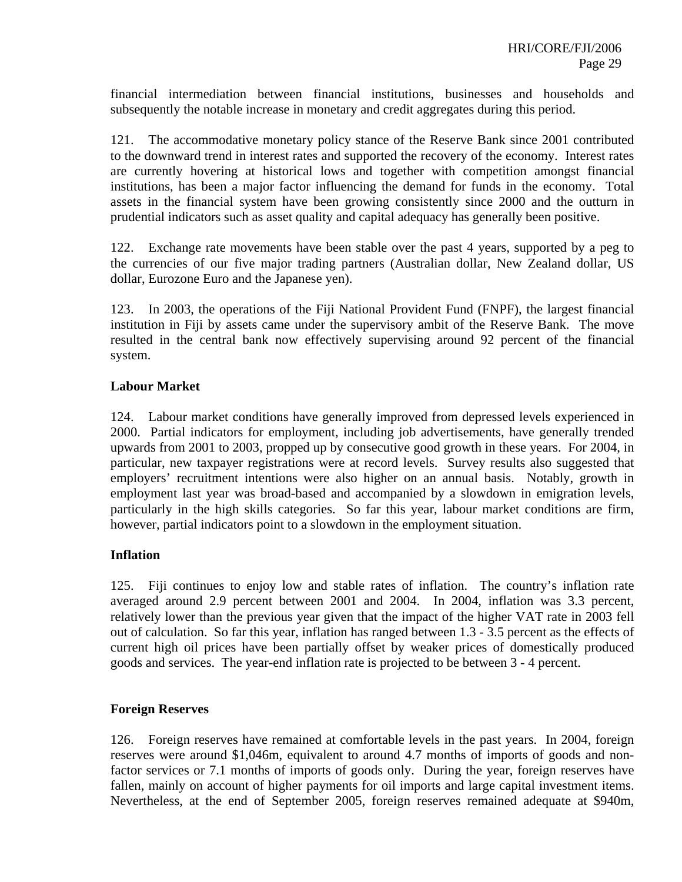financial intermediation between financial institutions, businesses and households and subsequently the notable increase in monetary and credit aggregates during this period.

121. The accommodative monetary policy stance of the Reserve Bank since 2001 contributed to the downward trend in interest rates and supported the recovery of the economy. Interest rates are currently hovering at historical lows and together with competition amongst financial institutions, has been a major factor influencing the demand for funds in the economy. Total assets in the financial system have been growing consistently since 2000 and the outturn in prudential indicators such as asset quality and capital adequacy has generally been positive.

122. Exchange rate movements have been stable over the past 4 years, supported by a peg to the currencies of our five major trading partners (Australian dollar, New Zealand dollar, US dollar, Eurozone Euro and the Japanese yen).

123. In 2003, the operations of the Fiji National Provident Fund (FNPF), the largest financial institution in Fiji by assets came under the supervisory ambit of the Reserve Bank. The move resulted in the central bank now effectively supervising around 92 percent of the financial system.

#### **Labour Market**

124. Labour market conditions have generally improved from depressed levels experienced in 2000. Partial indicators for employment, including job advertisements, have generally trended upwards from 2001 to 2003, propped up by consecutive good growth in these years. For 2004, in particular, new taxpayer registrations were at record levels. Survey results also suggested that employers' recruitment intentions were also higher on an annual basis. Notably, growth in employment last year was broad-based and accompanied by a slowdown in emigration levels, particularly in the high skills categories. So far this year, labour market conditions are firm, however, partial indicators point to a slowdown in the employment situation.

## **Inflation**

125. Fiji continues to enjoy low and stable rates of inflation. The country's inflation rate averaged around 2.9 percent between 2001 and 2004. In 2004, inflation was 3.3 percent, relatively lower than the previous year given that the impact of the higher VAT rate in 2003 fell out of calculation. So far this year, inflation has ranged between 1.3 - 3.5 percent as the effects of current high oil prices have been partially offset by weaker prices of domestically produced goods and services. The year-end inflation rate is projected to be between 3 - 4 percent.

#### **Foreign Reserves**

126. Foreign reserves have remained at comfortable levels in the past years. In 2004, foreign reserves were around \$1,046m, equivalent to around 4.7 months of imports of goods and nonfactor services or 7.1 months of imports of goods only. During the year, foreign reserves have fallen, mainly on account of higher payments for oil imports and large capital investment items. Nevertheless, at the end of September 2005, foreign reserves remained adequate at \$940m,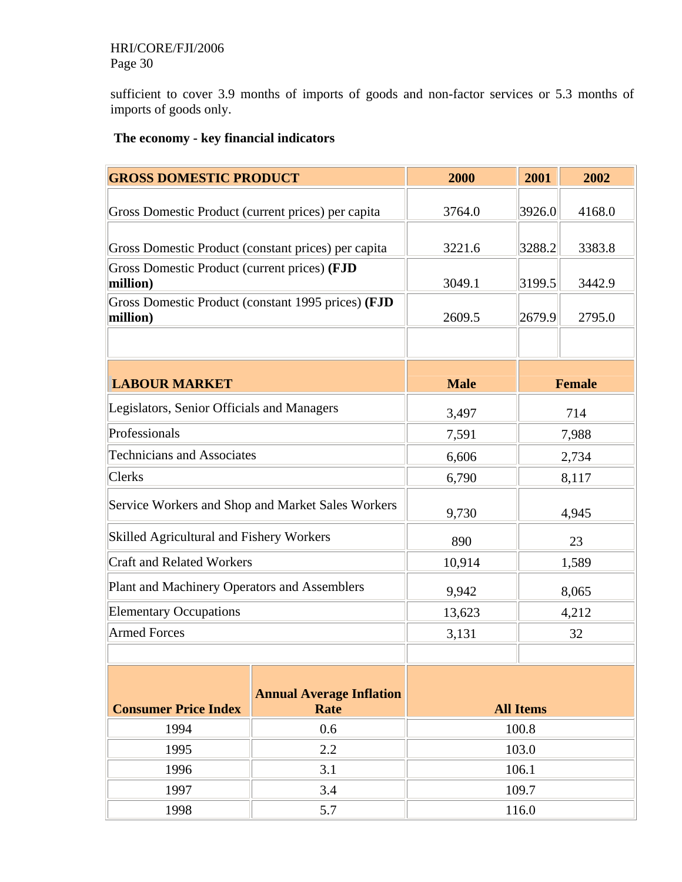## HRI/CORE/FJI/2006 Page 30

sufficient to cover 3.9 months of imports of goods and non-factor services or 5.3 months of imports of goods only.

## **The economy - key financial indicators**

| <b>GROSS DOMESTIC PRODUCT</b>                            |                                                    | 2000        | 2001             | 2002          |  |  |
|----------------------------------------------------------|----------------------------------------------------|-------------|------------------|---------------|--|--|
| Gross Domestic Product (current prices) per capita       |                                                    | 3764.0      | 3926.0           | 4168.0        |  |  |
|                                                          |                                                    |             |                  |               |  |  |
| Gross Domestic Product (constant prices) per capita      |                                                    | 3221.6      | 3288.2           | 3383.8        |  |  |
| Gross Domestic Product (current prices) (FJD<br>million) |                                                    | 3049.1      | 3199.5           | 3442.9        |  |  |
| million)                                                 | Gross Domestic Product (constant 1995 prices) (FJD | 2609.5      | 2679.9           | 2795.0        |  |  |
|                                                          |                                                    |             |                  |               |  |  |
| <b>LABOUR MARKET</b>                                     |                                                    | <b>Male</b> |                  | <b>Female</b> |  |  |
|                                                          |                                                    |             |                  |               |  |  |
| Legislators, Senior Officials and Managers               |                                                    | 3,497       |                  | 714           |  |  |
| Professionals                                            |                                                    | 7,591       |                  | 7,988         |  |  |
| <b>Technicians and Associates</b>                        |                                                    | 6,606       |                  | 2,734         |  |  |
| <b>Clerks</b>                                            |                                                    | 6,790       | 8,117            |               |  |  |
|                                                          | Service Workers and Shop and Market Sales Workers  | 9,730       |                  | 4,945         |  |  |
| Skilled Agricultural and Fishery Workers                 |                                                    | 890         | 23               |               |  |  |
| <b>Craft and Related Workers</b>                         |                                                    | 10,914      | 1,589            |               |  |  |
| Plant and Machinery Operators and Assemblers             |                                                    | 9,942       |                  | 8,065         |  |  |
| <b>Elementary Occupations</b>                            |                                                    | 13,623      |                  | 4,212         |  |  |
| <b>Armed Forces</b>                                      |                                                    | 3,131       |                  | 32            |  |  |
|                                                          |                                                    |             |                  |               |  |  |
| <b>Consumer Price Index</b>                              | <b>Annual Average Inflation</b><br>Rate            |             | <b>All Items</b> |               |  |  |
| 1994                                                     | 0.6                                                |             | 100.8            |               |  |  |
| 1995                                                     | 2.2                                                |             | 103.0            |               |  |  |
| 1996                                                     | 3.1                                                | 106.1       |                  |               |  |  |
| 1997                                                     | 3.4                                                | 109.7       |                  |               |  |  |
| 1998<br>5.7<br>116.0                                     |                                                    |             |                  |               |  |  |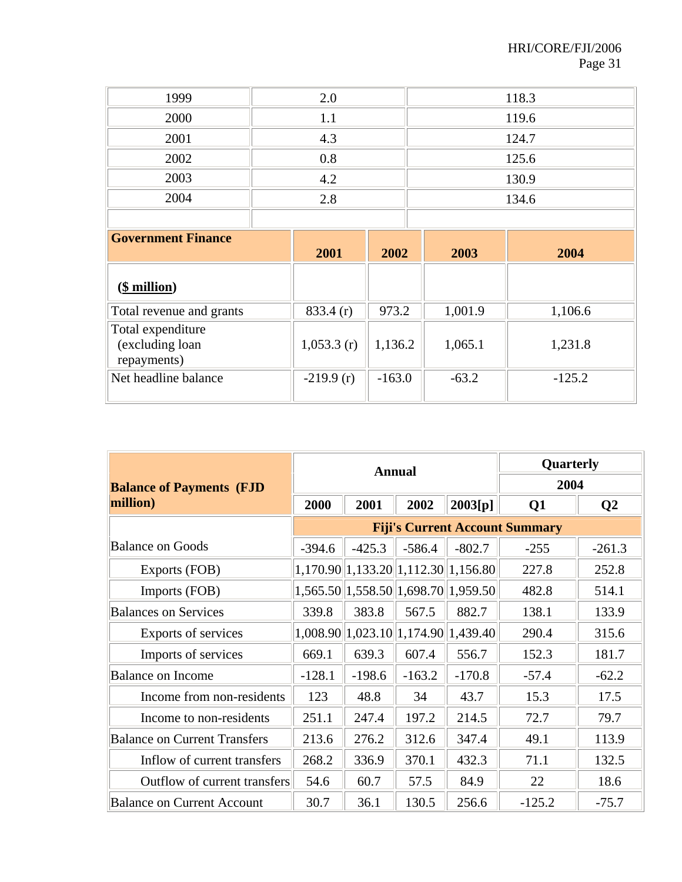| 1999 | 2.0 | 118.3 |
|------|-----|-------|
| 2000 | l 1 | 119.6 |
| 2001 | 4.3 | 124.7 |
| 2002 | 0.8 | 125.6 |
| 2003 | 4.2 | 130.9 |
| 2004 | 2.8 | 134.6 |
|      |     |       |

| <b>Government Finance</b>                           | 2001        | 2002     | 2003    | 2004     |
|-----------------------------------------------------|-------------|----------|---------|----------|
| <u>(\$ million)</u>                                 |             |          |         |          |
| Total revenue and grants                            | 833.4(r)    | 973.2    | 1,001.9 | 1,106.6  |
| Total expenditure<br>(excluding loan<br>repayments) | 1,053.3(r)  | 1,136.2  | 1,065.1 | 1,231.8  |
| Net headline balance                                | $-219.9(r)$ | $-163.0$ | $-63.2$ | $-125.2$ |

|                                     |          |          | <b>Annual</b>                       | Quarterly |                                       |                |
|-------------------------------------|----------|----------|-------------------------------------|-----------|---------------------------------------|----------------|
| <b>Balance of Payments (FJD</b>     |          |          |                                     | 2004      |                                       |                |
| million)                            | 2000     | 2001     | 2002                                | 2003[p]   | Q <sub>1</sub>                        | Q <sub>2</sub> |
|                                     |          |          |                                     |           | <b>Fiji's Current Account Summary</b> |                |
| <b>Balance on Goods</b>             | $-394.6$ | $-425.3$ | $-586.4$                            | $-802.7$  | $-255$                                | $-261.3$       |
| Exports (FOB)                       |          |          | 1,170.90 1,133.20 1,112.30 1,156.80 |           | 227.8                                 | 252.8          |
| Imports (FOB)                       |          |          | 1,565.50 1,558.50 1,698.70 1,959.50 |           | 482.8                                 | 514.1          |
| <b>Balances on Services</b>         | 339.8    | 383.8    | 567.5                               | 882.7     | 138.1                                 | 133.9          |
| Exports of services                 |          |          | 1,008.90 1,023.10 1,174.90 1,439.40 |           | 290.4                                 | 315.6          |
| Imports of services                 | 669.1    | 639.3    | 607.4                               | 556.7     | 152.3                                 | 181.7          |
| <b>Balance on Income</b>            | $-128.1$ | $-198.6$ | $-163.2$                            | $-170.8$  | $-57.4$                               | $-62.2$        |
| Income from non-residents           | 123      | 48.8     | 34                                  | 43.7      | 15.3                                  | 17.5           |
| Income to non-residents             | 251.1    | 247.4    | 197.2                               | 214.5     | 72.7                                  | 79.7           |
| <b>Balance on Current Transfers</b> | 213.6    | 276.2    | 312.6                               | 347.4     | 49.1                                  | 113.9          |
| Inflow of current transfers         | 268.2    | 336.9    | 370.1                               | 432.3     | 71.1                                  | 132.5          |
| Outflow of current transfers        | 54.6     | 60.7     | 57.5                                | 84.9      | 22                                    | 18.6           |
| <b>Balance on Current Account</b>   | 30.7     | 36.1     | 130.5                               | 256.6     | $-125.2$                              | $-75.7$        |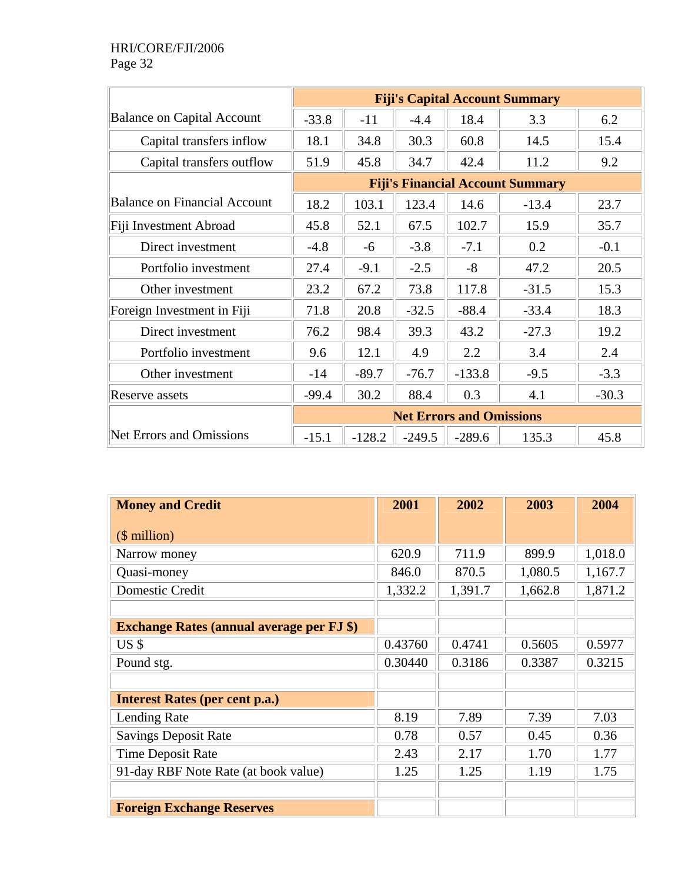|                                     | <b>Fiji's Capital Account Summary</b> |          |          |                                 |                                         |         |  |
|-------------------------------------|---------------------------------------|----------|----------|---------------------------------|-----------------------------------------|---------|--|
| <b>Balance on Capital Account</b>   | $-33.8$                               | $-11$    | $-4.4$   | 18.4                            | 3.3                                     | 6.2     |  |
| Capital transfers inflow            | 18.1                                  | 34.8     | 30.3     | 60.8                            | 14.5                                    | 15.4    |  |
| Capital transfers outflow           | 51.9                                  | 45.8     | 34.7     | 42.4                            | 11.2                                    | 9.2     |  |
|                                     |                                       |          |          |                                 | <b>Fiji's Financial Account Summary</b> |         |  |
| <b>Balance on Financial Account</b> | 18.2                                  | 103.1    | 123.4    | 14.6                            | $-13.4$                                 | 23.7    |  |
| Fiji Investment Abroad              | 45.8                                  | 52.1     | 67.5     | 102.7                           | 15.9                                    | 35.7    |  |
| Direct investment                   | $-4.8$                                | $-6$     | $-3.8$   | $-7.1$                          | 0.2                                     | $-0.1$  |  |
| Portfolio investment                | 27.4                                  | $-9.1$   | $-2.5$   | $-8$                            | 47.2                                    | 20.5    |  |
| Other investment                    | 23.2                                  | 67.2     | 73.8     | 117.8                           | $-31.5$                                 | 15.3    |  |
| Foreign Investment in Fiji          | 71.8                                  | 20.8     | $-32.5$  | $-88.4$                         | $-33.4$                                 | 18.3    |  |
| Direct investment                   | 76.2                                  | 98.4     | 39.3     | 43.2                            | $-27.3$                                 | 19.2    |  |
| Portfolio investment                | 9.6                                   | 12.1     | 4.9      | 2.2                             | 3.4                                     | 2.4     |  |
| Other investment                    | $-14$                                 | $-89.7$  | $-76.7$  | $-133.8$                        | $-9.5$                                  | $-3.3$  |  |
| Reserve assets                      | $-99.4$                               | 30.2     | 88.4     | 0.3                             | 4.1                                     | $-30.3$ |  |
|                                     |                                       |          |          | <b>Net Errors and Omissions</b> |                                         |         |  |
| <b>Net Errors and Omissions</b>     | $-15.1$                               | $-128.2$ | $-249.5$ | $-289.6$                        | 135.3                                   | 45.8    |  |

| <b>Money and Credit</b>                          | 2001    | 2002    | 2003    | 2004    |
|--------------------------------------------------|---------|---------|---------|---------|
| $$$ million)                                     |         |         |         |         |
| Narrow money                                     | 620.9   | 711.9   | 899.9   | 1,018.0 |
| Quasi-money                                      | 846.0   | 870.5   | 1,080.5 | 1,167.7 |
| Domestic Credit                                  | 1,332.2 | 1,391.7 | 1,662.8 | 1,871.2 |
|                                                  |         |         |         |         |
| <b>Exchange Rates (annual average per FJ \$)</b> |         |         |         |         |
| US <sub>s</sub>                                  | 0.43760 | 0.4741  | 0.5605  | 0.5977  |
| Pound stg.                                       | 0.30440 | 0.3186  | 0.3387  | 0.3215  |
|                                                  |         |         |         |         |
| <b>Interest Rates (per cent p.a.)</b>            |         |         |         |         |
| Lending Rate                                     | 8.19    | 7.89    | 7.39    | 7.03    |
| <b>Savings Deposit Rate</b>                      | 0.78    | 0.57    | 0.45    | 0.36    |
| Time Deposit Rate                                | 2.43    | 2.17    | 1.70    | 1.77    |
| 91-day RBF Note Rate (at book value)             | 1.25    | 1.25    | 1.19    | 1.75    |
|                                                  |         |         |         |         |
| <b>Foreign Exchange Reserves</b>                 |         |         |         |         |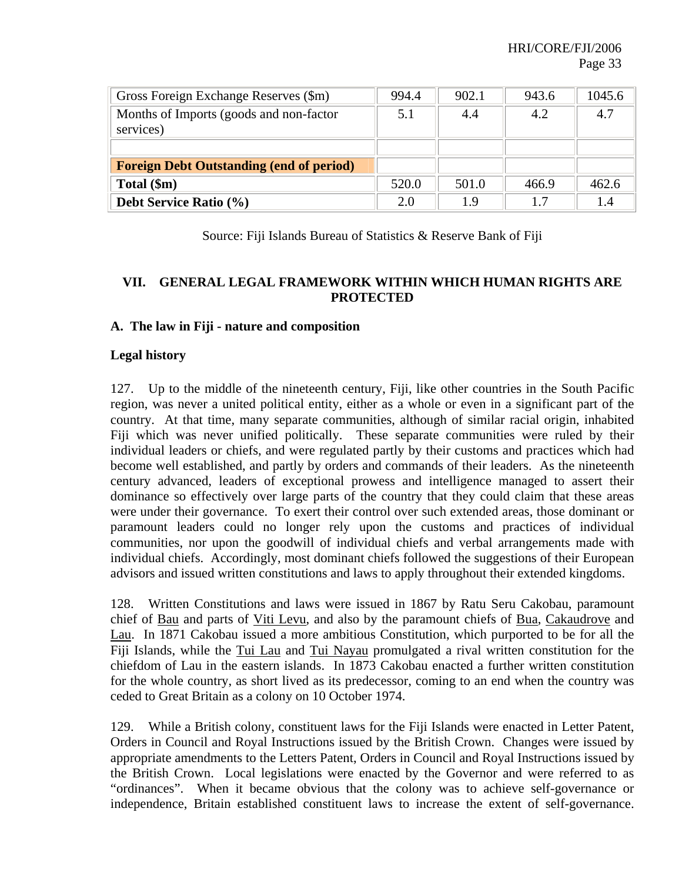| Gross Foreign Exchange Reserves (\$m)                | 994.4 | 902.1 | 943.6 | 1045.6 |
|------------------------------------------------------|-------|-------|-------|--------|
| Months of Imports (goods and non-factor<br>services) | 5.1   | 4.4   | 4.2   | 4.7    |
|                                                      |       |       |       |        |
| <b>Foreign Debt Outstanding (end of period)</b>      |       |       |       |        |
| Total (\$m)                                          | 520.0 | 501.0 | 466.9 | 462.6  |
| Debt Service Ratio (%)                               | 2.0   | 1.9   | 1.7   | 1.4    |

Source: Fiji Islands Bureau of Statistics & Reserve Bank of Fiji

## **VII. GENERAL LEGAL FRAMEWORK WITHIN WHICH HUMAN RIGHTS ARE PROTECTED**

#### **A. The law in Fiji - nature and composition**

#### **Legal history**

127. Up to the middle of the nineteenth century, Fiji, like other countries in the South Pacific region, was never a united political entity, either as a whole or even in a significant part of the country. At that time, many separate communities, although of similar racial origin, inhabited Fiji which was never unified politically. These separate communities were ruled by their individual leaders or chiefs, and were regulated partly by their customs and practices which had become well established, and partly by orders and commands of their leaders. As the nineteenth century advanced, leaders of exceptional prowess and intelligence managed to assert their dominance so effectively over large parts of the country that they could claim that these areas were under their governance. To exert their control over such extended areas, those dominant or paramount leaders could no longer rely upon the customs and practices of individual communities, nor upon the goodwill of individual chiefs and verbal arrangements made with individual chiefs. Accordingly, most dominant chiefs followed the suggestions of their European advisors and issued written constitutions and laws to apply throughout their extended kingdoms.

128. Written Constitutions and laws were issued in 1867 by Ratu Seru Cakobau, paramount chief of Bau and parts of Viti Levu, and also by the paramount chiefs of Bua, Cakaudrove and Lau. In 1871 Cakobau issued a more ambitious Constitution, which purported to be for all the Fiji Islands, while the Tui Lau and Tui Nayau promulgated a rival written constitution for the chiefdom of Lau in the eastern islands. In 1873 Cakobau enacted a further written constitution for the whole country, as short lived as its predecessor, coming to an end when the country was ceded to Great Britain as a colony on 10 October 1974.

129. While a British colony, constituent laws for the Fiji Islands were enacted in Letter Patent, Orders in Council and Royal Instructions issued by the British Crown. Changes were issued by appropriate amendments to the Letters Patent, Orders in Council and Royal Instructions issued by the British Crown. Local legislations were enacted by the Governor and were referred to as "ordinances". When it became obvious that the colony was to achieve self-governance or independence, Britain established constituent laws to increase the extent of self-governance.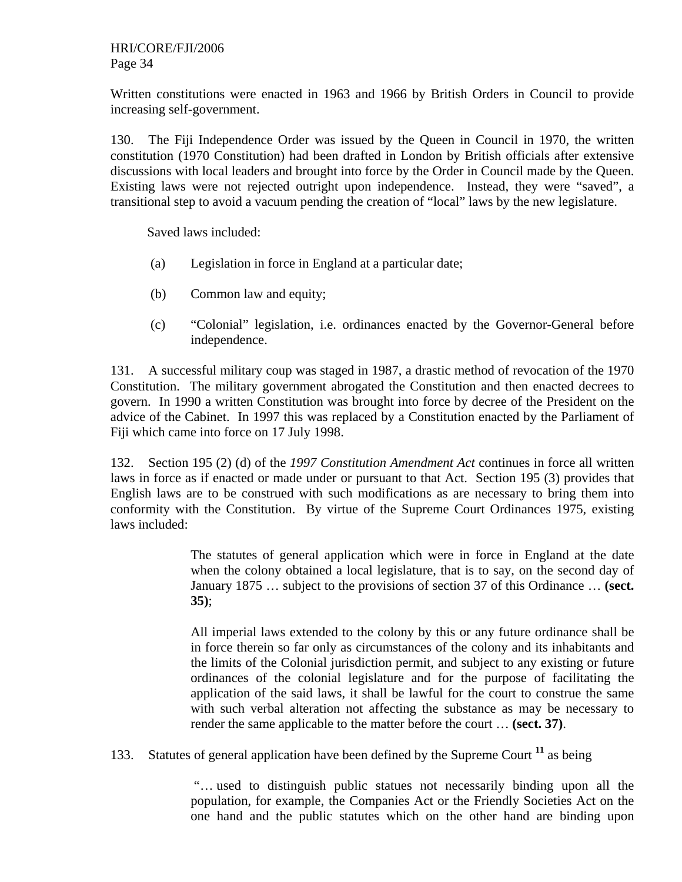Written constitutions were enacted in 1963 and 1966 by British Orders in Council to provide increasing self-government.

130. The Fiji Independence Order was issued by the Queen in Council in 1970, the written constitution (1970 Constitution) had been drafted in London by British officials after extensive discussions with local leaders and brought into force by the Order in Council made by the Queen. Existing laws were not rejected outright upon independence. Instead, they were "saved", a transitional step to avoid a vacuum pending the creation of "local" laws by the new legislature.

Saved laws included:

- (a) Legislation in force in England at a particular date;
- (b) Common law and equity;
- (c) "Colonial" legislation, i.e. ordinances enacted by the Governor-General before independence.

131. A successful military coup was staged in 1987, a drastic method of revocation of the 1970 Constitution. The military government abrogated the Constitution and then enacted decrees to govern. In 1990 a written Constitution was brought into force by decree of the President on the advice of the Cabinet. In 1997 this was replaced by a Constitution enacted by the Parliament of Fiji which came into force on 17 July 1998.

132. Section 195 (2) (d) of the *1997 Constitution Amendment Act* continues in force all written laws in force as if enacted or made under or pursuant to that Act. Section 195 (3) provides that English laws are to be construed with such modifications as are necessary to bring them into conformity with the Constitution. By virtue of the Supreme Court Ordinances 1975, existing laws included:

> The statutes of general application which were in force in England at the date when the colony obtained a local legislature, that is to say, on the second day of January 1875 … subject to the provisions of section 37 of this Ordinance … **(sect. 35)**;

> All imperial laws extended to the colony by this or any future ordinance shall be in force therein so far only as circumstances of the colony and its inhabitants and the limits of the Colonial jurisdiction permit, and subject to any existing or future ordinances of the colonial legislature and for the purpose of facilitating the application of the said laws, it shall be lawful for the court to construe the same with such verbal alteration not affecting the substance as may be necessary to render the same applicable to the matter before the court … **(sect. 37)**.

133. Statutes of general application have been defined by the Supreme Court **<sup>11</sup>** as being

"… used to distinguish public statues not necessarily binding upon all the population, for example, the Companies Act or the Friendly Societies Act on the one hand and the public statutes which on the other hand are binding upon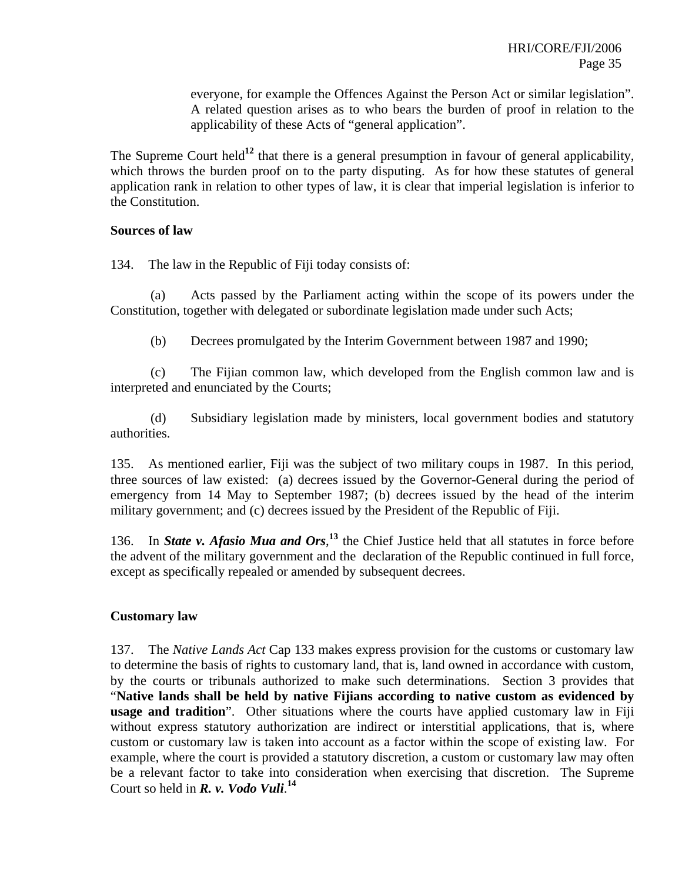everyone, for example the Offences Against the Person Act or similar legislation". A related question arises as to who bears the burden of proof in relation to the applicability of these Acts of "general application".

The Supreme Court held<sup>12</sup> that there is a general presumption in favour of general applicability, which throws the burden proof on to the party disputing. As for how these statutes of general application rank in relation to other types of law, it is clear that imperial legislation is inferior to the Constitution.

#### **Sources of law**

134. The law in the Republic of Fiji today consists of:

(a) Acts passed by the Parliament acting within the scope of its powers under the Constitution, together with delegated or subordinate legislation made under such Acts;

(b) Decrees promulgated by the Interim Government between 1987 and 1990;

(c) The Fijian common law, which developed from the English common law and is interpreted and enunciated by the Courts;

(d) Subsidiary legislation made by ministers, local government bodies and statutory authorities.

135. As mentioned earlier, Fiji was the subject of two military coups in 1987. In this period, three sources of law existed: (a) decrees issued by the Governor-General during the period of emergency from 14 May to September 1987; (b) decrees issued by the head of the interim military government; and (c) decrees issued by the President of the Republic of Fiji.

136. In *State v. Afasio Mua and Ors*,<sup>13</sup> the Chief Justice held that all statutes in force before the advent of the military government and the declaration of the Republic continued in full force, except as specifically repealed or amended by subsequent decrees.

#### **Customary law**

137. The *Native Lands Act* Cap 133 makes express provision for the customs or customary law to determine the basis of rights to customary land, that is, land owned in accordance with custom, by the courts or tribunals authorized to make such determinations. Section 3 provides that "**Native lands shall be held by native Fijians according to native custom as evidenced by usage and tradition**". Other situations where the courts have applied customary law in Fiji without express statutory authorization are indirect or interstitial applications, that is, where custom or customary law is taken into account as a factor within the scope of existing law. For example, where the court is provided a statutory discretion, a custom or customary law may often be a relevant factor to take into consideration when exercising that discretion. The Supreme Court so held in *R. v. Vodo Vuli*. **14**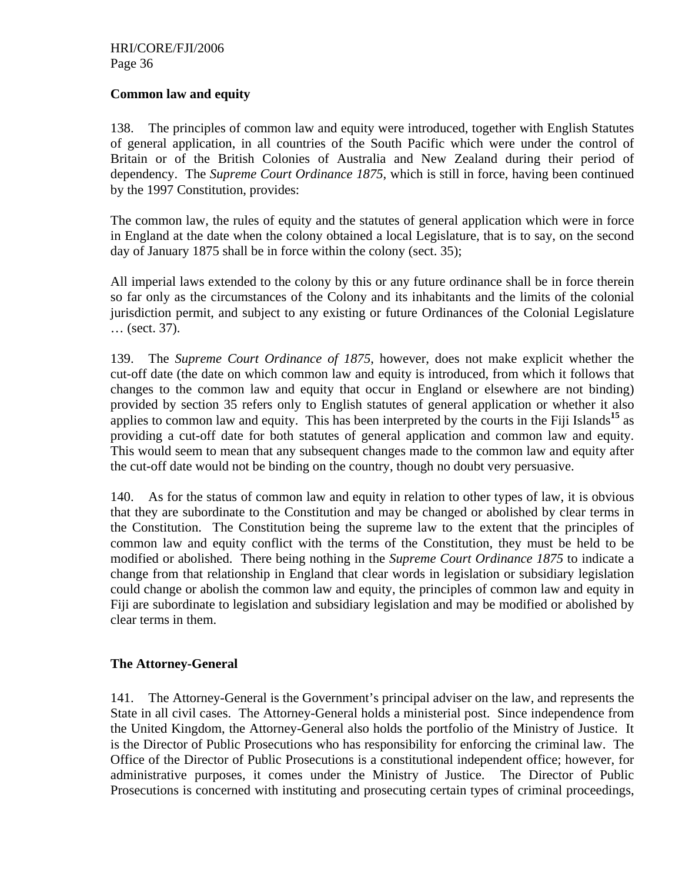#### **Common law and equity**

138. The principles of common law and equity were introduced, together with English Statutes of general application, in all countries of the South Pacific which were under the control of Britain or of the British Colonies of Australia and New Zealand during their period of dependency. The *Supreme Court Ordinance 1875*, which is still in force, having been continued by the 1997 Constitution, provides:

The common law, the rules of equity and the statutes of general application which were in force in England at the date when the colony obtained a local Legislature, that is to say, on the second day of January 1875 shall be in force within the colony (sect. 35);

All imperial laws extended to the colony by this or any future ordinance shall be in force therein so far only as the circumstances of the Colony and its inhabitants and the limits of the colonial jurisdiction permit, and subject to any existing or future Ordinances of the Colonial Legislature … (sect. 37).

139. The *Supreme Court Ordinance of 1875*, however, does not make explicit whether the cut-off date (the date on which common law and equity is introduced, from which it follows that changes to the common law and equity that occur in England or elsewhere are not binding) provided by section 35 refers only to English statutes of general application or whether it also applies to common law and equity. This has been interpreted by the courts in the Fiji Islands**<sup>15</sup>** as providing a cut-off date for both statutes of general application and common law and equity. This would seem to mean that any subsequent changes made to the common law and equity after the cut-off date would not be binding on the country, though no doubt very persuasive.

140. As for the status of common law and equity in relation to other types of law, it is obvious that they are subordinate to the Constitution and may be changed or abolished by clear terms in the Constitution. The Constitution being the supreme law to the extent that the principles of common law and equity conflict with the terms of the Constitution, they must be held to be modified or abolished. There being nothing in the *Supreme Court Ordinance 1875* to indicate a change from that relationship in England that clear words in legislation or subsidiary legislation could change or abolish the common law and equity, the principles of common law and equity in Fiji are subordinate to legislation and subsidiary legislation and may be modified or abolished by clear terms in them.

## **The Attorney-General**

141. The Attorney-General is the Government's principal adviser on the law, and represents the State in all civil cases. The Attorney-General holds a ministerial post. Since independence from the United Kingdom, the Attorney-General also holds the portfolio of the Ministry of Justice. It is the Director of Public Prosecutions who has responsibility for enforcing the criminal law. The Office of the Director of Public Prosecutions is a constitutional independent office; however, for administrative purposes, it comes under the Ministry of Justice. The Director of Public Prosecutions is concerned with instituting and prosecuting certain types of criminal proceedings,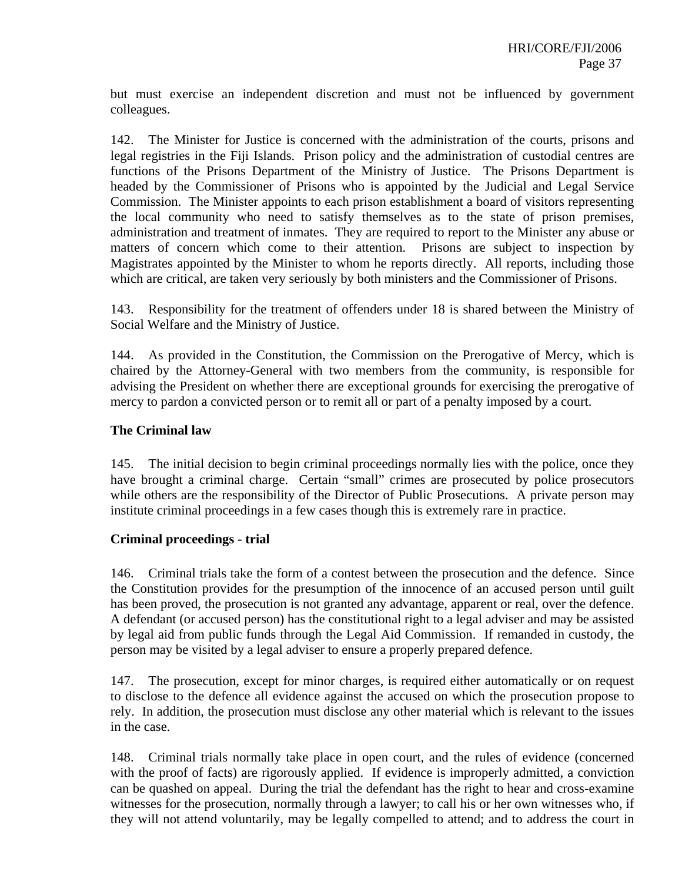but must exercise an independent discretion and must not be influenced by government colleagues.

142. The Minister for Justice is concerned with the administration of the courts, prisons and legal registries in the Fiji Islands. Prison policy and the administration of custodial centres are functions of the Prisons Department of the Ministry of Justice. The Prisons Department is headed by the Commissioner of Prisons who is appointed by the Judicial and Legal Service Commission. The Minister appoints to each prison establishment a board of visitors representing the local community who need to satisfy themselves as to the state of prison premises, administration and treatment of inmates. They are required to report to the Minister any abuse or matters of concern which come to their attention. Prisons are subject to inspection by Magistrates appointed by the Minister to whom he reports directly. All reports, including those which are critical, are taken very seriously by both ministers and the Commissioner of Prisons.

143. Responsibility for the treatment of offenders under 18 is shared between the Ministry of Social Welfare and the Ministry of Justice.

144. As provided in the Constitution, the Commission on the Prerogative of Mercy, which is chaired by the Attorney-General with two members from the community, is responsible for advising the President on whether there are exceptional grounds for exercising the prerogative of mercy to pardon a convicted person or to remit all or part of a penalty imposed by a court.

#### **The Criminal law**

145. The initial decision to begin criminal proceedings normally lies with the police, once they have brought a criminal charge. Certain "small" crimes are prosecuted by police prosecutors while others are the responsibility of the Director of Public Prosecutions. A private person may institute criminal proceedings in a few cases though this is extremely rare in practice.

#### **Criminal proceedings - trial**

146. Criminal trials take the form of a contest between the prosecution and the defence. Since the Constitution provides for the presumption of the innocence of an accused person until guilt has been proved, the prosecution is not granted any advantage, apparent or real, over the defence. A defendant (or accused person) has the constitutional right to a legal adviser and may be assisted by legal aid from public funds through the Legal Aid Commission. If remanded in custody, the person may be visited by a legal adviser to ensure a properly prepared defence.

147. The prosecution, except for minor charges, is required either automatically or on request to disclose to the defence all evidence against the accused on which the prosecution propose to rely. In addition, the prosecution must disclose any other material which is relevant to the issues in the case.

148. Criminal trials normally take place in open court, and the rules of evidence (concerned with the proof of facts) are rigorously applied. If evidence is improperly admitted, a conviction can be quashed on appeal. During the trial the defendant has the right to hear and cross-examine witnesses for the prosecution, normally through a lawyer; to call his or her own witnesses who, if they will not attend voluntarily, may be legally compelled to attend; and to address the court in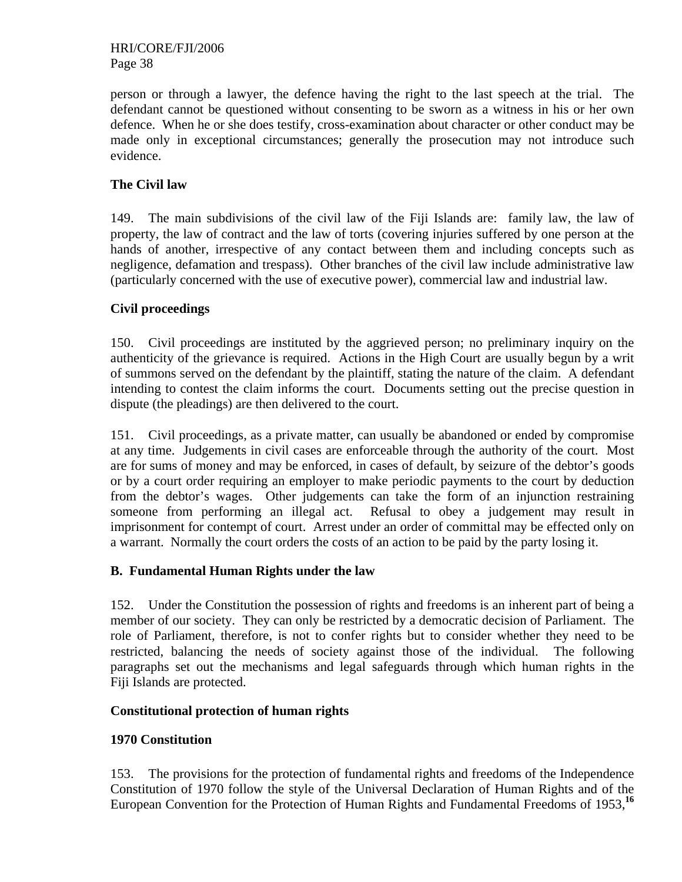person or through a lawyer, the defence having the right to the last speech at the trial. The defendant cannot be questioned without consenting to be sworn as a witness in his or her own defence. When he or she does testify, cross-examination about character or other conduct may be made only in exceptional circumstances; generally the prosecution may not introduce such evidence.

## **The Civil law**

149. The main subdivisions of the civil law of the Fiji Islands are: family law, the law of property, the law of contract and the law of torts (covering injuries suffered by one person at the hands of another, irrespective of any contact between them and including concepts such as negligence, defamation and trespass). Other branches of the civil law include administrative law (particularly concerned with the use of executive power), commercial law and industrial law.

## **Civil proceedings**

150. Civil proceedings are instituted by the aggrieved person; no preliminary inquiry on the authenticity of the grievance is required. Actions in the High Court are usually begun by a writ of summons served on the defendant by the plaintiff, stating the nature of the claim. A defendant intending to contest the claim informs the court. Documents setting out the precise question in dispute (the pleadings) are then delivered to the court.

151. Civil proceedings, as a private matter, can usually be abandoned or ended by compromise at any time. Judgements in civil cases are enforceable through the authority of the court. Most are for sums of money and may be enforced, in cases of default, by seizure of the debtor's goods or by a court order requiring an employer to make periodic payments to the court by deduction from the debtor's wages. Other judgements can take the form of an injunction restraining someone from performing an illegal act. Refusal to obey a judgement may result in imprisonment for contempt of court. Arrest under an order of committal may be effected only on a warrant. Normally the court orders the costs of an action to be paid by the party losing it.

## **B. Fundamental Human Rights under the law**

152. Under the Constitution the possession of rights and freedoms is an inherent part of being a member of our society. They can only be restricted by a democratic decision of Parliament. The role of Parliament, therefore, is not to confer rights but to consider whether they need to be restricted, balancing the needs of society against those of the individual. The following paragraphs set out the mechanisms and legal safeguards through which human rights in the Fiji Islands are protected.

## **Constitutional protection of human rights**

## **1970 Constitution**

153. The provisions for the protection of fundamental rights and freedoms of the Independence Constitution of 1970 follow the style of the Universal Declaration of Human Rights and of the European Convention for the Protection of Human Rights and Fundamental Freedoms of 1953,**<sup>16</sup>**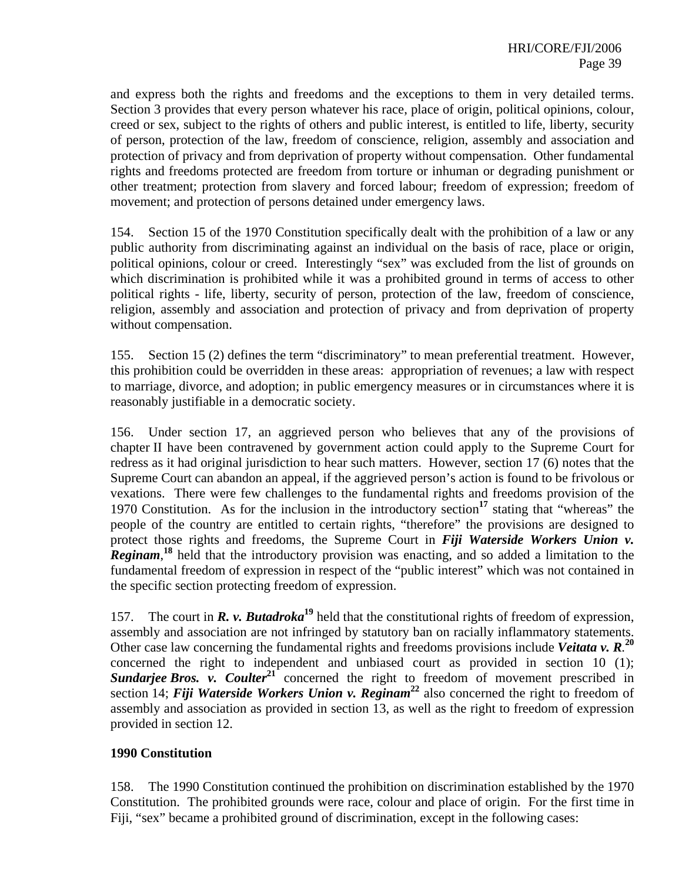and express both the rights and freedoms and the exceptions to them in very detailed terms. Section 3 provides that every person whatever his race, place of origin, political opinions, colour, creed or sex, subject to the rights of others and public interest, is entitled to life, liberty, security of person, protection of the law, freedom of conscience, religion, assembly and association and protection of privacy and from deprivation of property without compensation. Other fundamental rights and freedoms protected are freedom from torture or inhuman or degrading punishment or other treatment; protection from slavery and forced labour; freedom of expression; freedom of movement; and protection of persons detained under emergency laws.

154. Section 15 of the 1970 Constitution specifically dealt with the prohibition of a law or any public authority from discriminating against an individual on the basis of race, place or origin, political opinions, colour or creed. Interestingly "sex" was excluded from the list of grounds on which discrimination is prohibited while it was a prohibited ground in terms of access to other political rights - life, liberty, security of person, protection of the law, freedom of conscience, religion, assembly and association and protection of privacy and from deprivation of property without compensation.

155. Section 15 (2) defines the term "discriminatory" to mean preferential treatment. However, this prohibition could be overridden in these areas: appropriation of revenues; a law with respect to marriage, divorce, and adoption; in public emergency measures or in circumstances where it is reasonably justifiable in a democratic society.

156. Under section 17, an aggrieved person who believes that any of the provisions of chapter II have been contravened by government action could apply to the Supreme Court for redress as it had original jurisdiction to hear such matters. However, section 17 (6) notes that the Supreme Court can abandon an appeal, if the aggrieved person's action is found to be frivolous or vexations. There were few challenges to the fundamental rights and freedoms provision of the 1970 Constitution. As for the inclusion in the introductory section**<sup>17</sup>** stating that "whereas" the people of the country are entitled to certain rights, "therefore" the provisions are designed to protect those rights and freedoms, the Supreme Court in *Fiji Waterside Workers Union v.*  **Reginam**,<sup>18</sup> held that the introductory provision was enacting, and so added a limitation to the fundamental freedom of expression in respect of the "public interest" which was not contained in the specific section protecting freedom of expression.

157. The court in *R. v. Butadroka***<sup>19</sup>** held that the constitutional rights of freedom of expression, assembly and association are not infringed by statutory ban on racially inflammatory statements. Other case law concerning the fundamental rights and freedoms provisions include *Veitata v. R.* **20** concerned the right to independent and unbiased court as provided in section 10 (1); **Sundarjee Bros.** v. Coulter<sup>21</sup> concerned the right to freedom of movement prescribed in section 14; *Fiji Waterside Workers Union v. Reginam*<sup>22</sup> also concerned the right to freedom of assembly and association as provided in section 13, as well as the right to freedom of expression provided in section 12.

#### **1990 Constitution**

158. The 1990 Constitution continued the prohibition on discrimination established by the 1970 Constitution. The prohibited grounds were race, colour and place of origin. For the first time in Fiji, "sex" became a prohibited ground of discrimination, except in the following cases: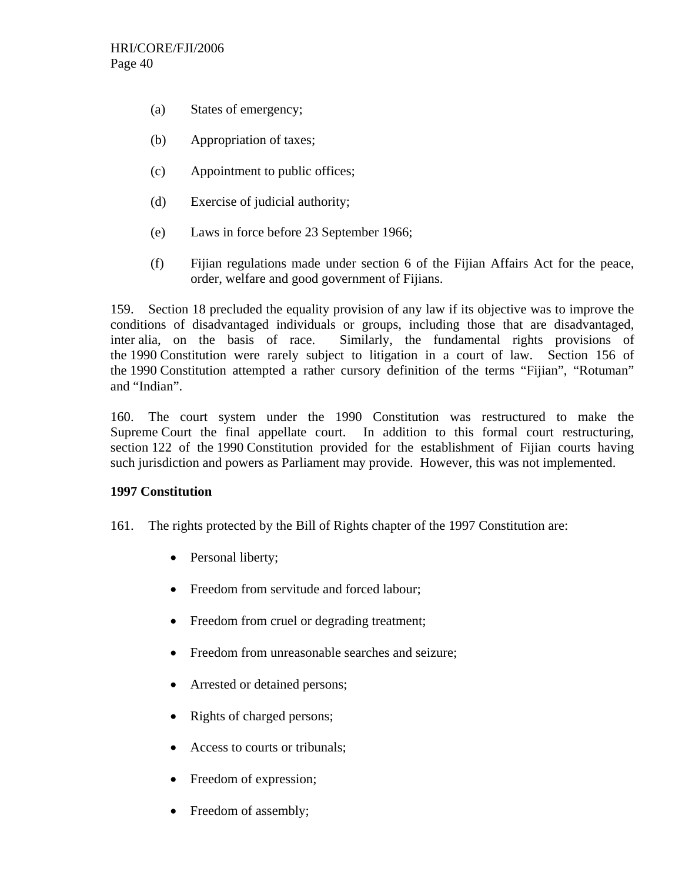- (a) States of emergency;
- (b) Appropriation of taxes;
- (c) Appointment to public offices;
- (d) Exercise of judicial authority;
- (e) Laws in force before 23 September 1966;
- (f) Fijian regulations made under section 6 of the Fijian Affairs Act for the peace, order, welfare and good government of Fijians.

159. Section 18 precluded the equality provision of any law if its objective was to improve the conditions of disadvantaged individuals or groups, including those that are disadvantaged, inter alia, on the basis of race. Similarly, the fundamental rights provisions of the 1990 Constitution were rarely subject to litigation in a court of law. Section 156 of the 1990 Constitution attempted a rather cursory definition of the terms "Fijian", "Rotuman" and "Indian".

160. The court system under the 1990 Constitution was restructured to make the Supreme Court the final appellate court. In addition to this formal court restructuring, section 122 of the 1990 Constitution provided for the establishment of Fijian courts having such jurisdiction and powers as Parliament may provide. However, this was not implemented.

#### **1997 Constitution**

- 161. The rights protected by the Bill of Rights chapter of the 1997 Constitution are:
	- Personal liberty;
	- Freedom from servitude and forced labour;
	- Freedom from cruel or degrading treatment;
	- Freedom from unreasonable searches and seizure;
	- Arrested or detained persons;
	- Rights of charged persons;
	- Access to courts or tribunals;
	- Freedom of expression;
	- Freedom of assembly;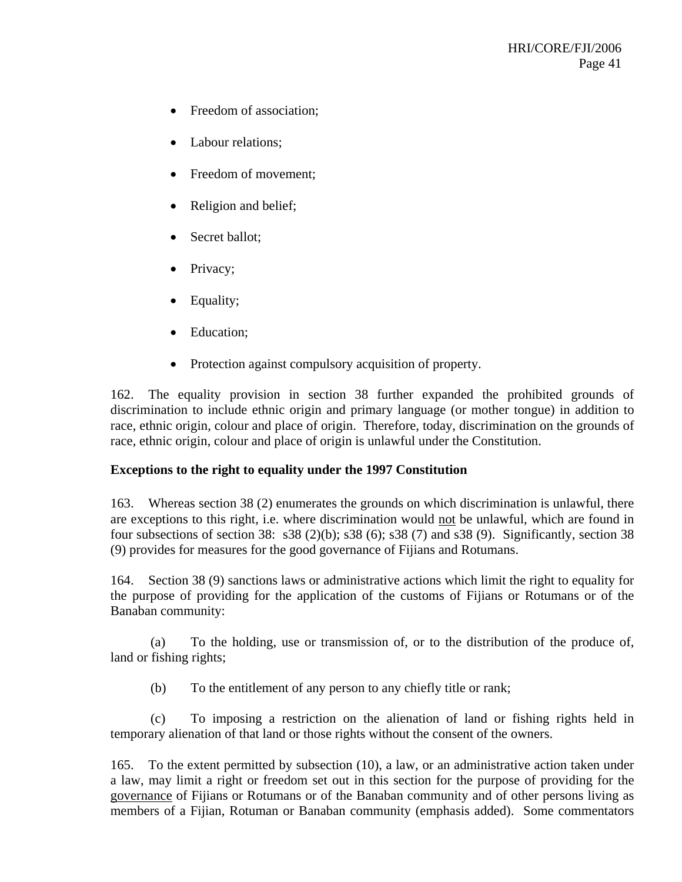- Freedom of association;
- Labour relations;
- Freedom of movement;
- Religion and belief;
- Secret ballot;
- Privacy;
- Equality;
- Education:
- Protection against compulsory acquisition of property.

162. The equality provision in section 38 further expanded the prohibited grounds of discrimination to include ethnic origin and primary language (or mother tongue) in addition to race, ethnic origin, colour and place of origin. Therefore, today, discrimination on the grounds of race, ethnic origin, colour and place of origin is unlawful under the Constitution.

#### **Exceptions to the right to equality under the 1997 Constitution**

163. Whereas section 38 (2) enumerates the grounds on which discrimination is unlawful, there are exceptions to this right, i.e. where discrimination would not be unlawful, which are found in four subsections of section 38:  $s38$  (2)(b);  $s38$  (6);  $s38$  (7) and  $s38$  (9). Significantly, section 38 (9) provides for measures for the good governance of Fijians and Rotumans.

164. Section 38 (9) sanctions laws or administrative actions which limit the right to equality for the purpose of providing for the application of the customs of Fijians or Rotumans or of the Banaban community:

 (a) To the holding, use or transmission of, or to the distribution of the produce of, land or fishing rights;

(b) To the entitlement of any person to any chiefly title or rank;

(c) To imposing a restriction on the alienation of land or fishing rights held in temporary alienation of that land or those rights without the consent of the owners.

165. To the extent permitted by subsection (10), a law, or an administrative action taken under a law, may limit a right or freedom set out in this section for the purpose of providing for the governance of Fijians or Rotumans or of the Banaban community and of other persons living as members of a Fijian, Rotuman or Banaban community (emphasis added). Some commentators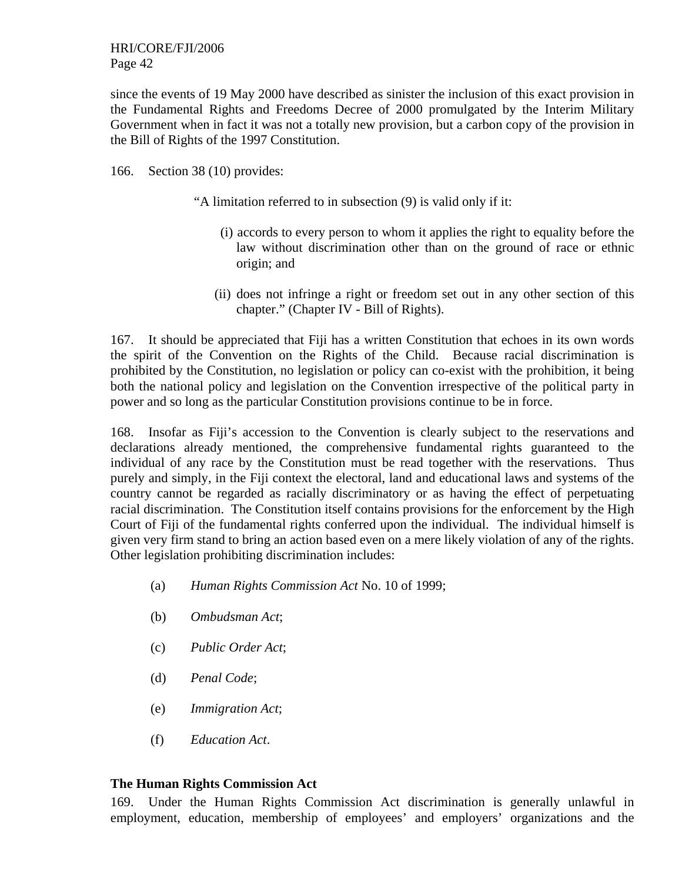since the events of 19 May 2000 have described as sinister the inclusion of this exact provision in the Fundamental Rights and Freedoms Decree of 2000 promulgated by the Interim Military Government when in fact it was not a totally new provision, but a carbon copy of the provision in the Bill of Rights of the 1997 Constitution.

166. Section 38 (10) provides:

"A limitation referred to in subsection (9) is valid only if it:

- (i) accords to every person to whom it applies the right to equality before the law without discrimination other than on the ground of race or ethnic origin; and
- (ii) does not infringe a right or freedom set out in any other section of this chapter." (Chapter IV - Bill of Rights).

167. It should be appreciated that Fiji has a written Constitution that echoes in its own words the spirit of the Convention on the Rights of the Child. Because racial discrimination is prohibited by the Constitution, no legislation or policy can co-exist with the prohibition, it being both the national policy and legislation on the Convention irrespective of the political party in power and so long as the particular Constitution provisions continue to be in force.

168. Insofar as Fiji's accession to the Convention is clearly subject to the reservations and declarations already mentioned, the comprehensive fundamental rights guaranteed to the individual of any race by the Constitution must be read together with the reservations. Thus purely and simply, in the Fiji context the electoral, land and educational laws and systems of the country cannot be regarded as racially discriminatory or as having the effect of perpetuating racial discrimination. The Constitution itself contains provisions for the enforcement by the High Court of Fiji of the fundamental rights conferred upon the individual. The individual himself is given very firm stand to bring an action based even on a mere likely violation of any of the rights. Other legislation prohibiting discrimination includes:

- (a) *Human Rights Commission Act* No. 10 of 1999;
- (b) *Ombudsman Act*;
- (c) *Public Order Act*;
- (d) *Penal Code*;
- (e) *Immigration Act*;
- (f) *Education Act*.

#### **The Human Rights Commission Act**

169. Under the Human Rights Commission Act discrimination is generally unlawful in employment, education, membership of employees' and employers' organizations and the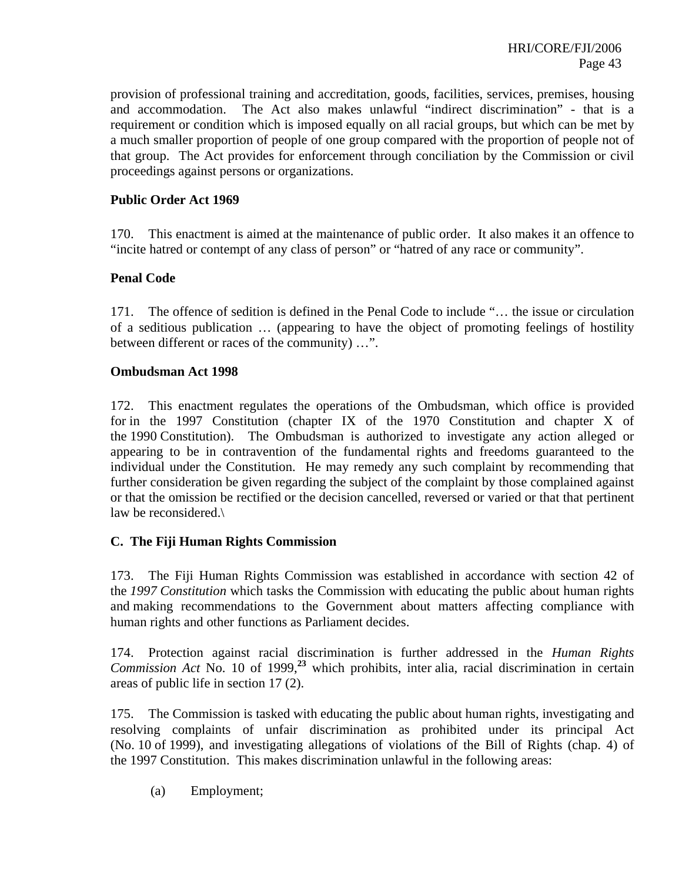provision of professional training and accreditation, goods, facilities, services, premises, housing and accommodation. The Act also makes unlawful "indirect discrimination" - that is a requirement or condition which is imposed equally on all racial groups, but which can be met by a much smaller proportion of people of one group compared with the proportion of people not of that group. The Act provides for enforcement through conciliation by the Commission or civil proceedings against persons or organizations.

#### **Public Order Act 1969**

170. This enactment is aimed at the maintenance of public order. It also makes it an offence to "incite hatred or contempt of any class of person" or "hatred of any race or community".

#### **Penal Code**

171. The offence of sedition is defined in the Penal Code to include "… the issue or circulation of a seditious publication … (appearing to have the object of promoting feelings of hostility between different or races of the community) …".

#### **Ombudsman Act 1998**

172. This enactment regulates the operations of the Ombudsman, which office is provided for in the 1997 Constitution (chapter IX of the 1970 Constitution and chapter X of the 1990 Constitution). The Ombudsman is authorized to investigate any action alleged or appearing to be in contravention of the fundamental rights and freedoms guaranteed to the individual under the Constitution. He may remedy any such complaint by recommending that further consideration be given regarding the subject of the complaint by those complained against or that the omission be rectified or the decision cancelled, reversed or varied or that that pertinent law be reconsidered.\

#### **C. The Fiji Human Rights Commission**

173. The Fiji Human Rights Commission was established in accordance with section 42 of the *1997 Constitution* which tasks the Commission with educating the public about human rights and making recommendations to the Government about matters affecting compliance with human rights and other functions as Parliament decides.

174. Protection against racial discrimination is further addressed in the *Human Rights Commission Act* No. 10 of 1999,**<sup>23</sup>** which prohibits, inter alia, racial discrimination in certain areas of public life in section 17 (2).

175. The Commission is tasked with educating the public about human rights, investigating and resolving complaints of unfair discrimination as prohibited under its principal Act (No. 10 of 1999), and investigating allegations of violations of the Bill of Rights (chap. 4) of the 1997 Constitution. This makes discrimination unlawful in the following areas:

(a) Employment;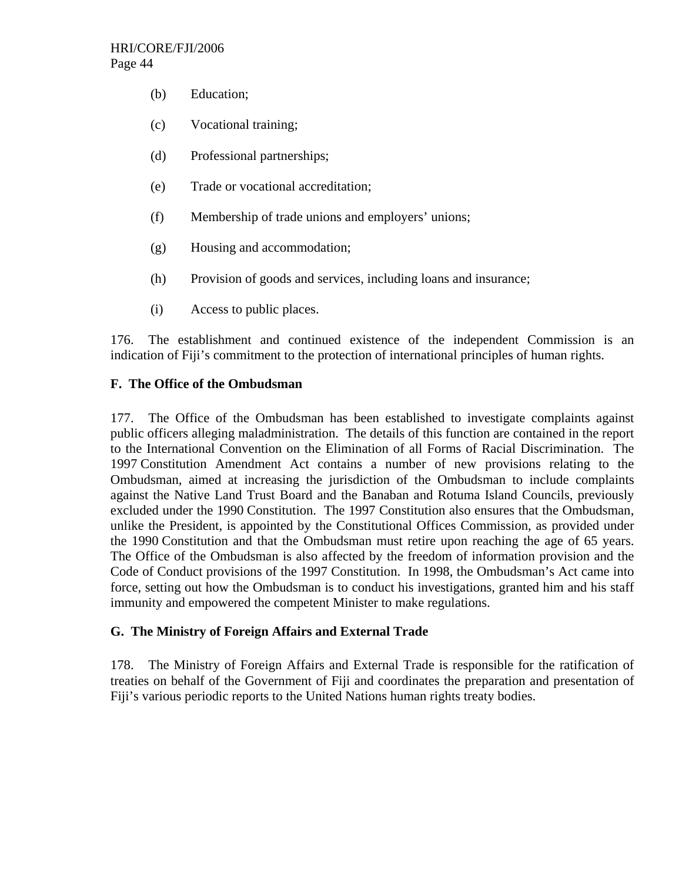- (b) Education;
- (c) Vocational training;
- (d) Professional partnerships;
- (e) Trade or vocational accreditation;
- (f) Membership of trade unions and employers' unions;
- (g) Housing and accommodation;
- (h) Provision of goods and services, including loans and insurance;
- (i) Access to public places.

176. The establishment and continued existence of the independent Commission is an indication of Fiji's commitment to the protection of international principles of human rights.

## **F. The Office of the Ombudsman**

177. The Office of the Ombudsman has been established to investigate complaints against public officers alleging maladministration. The details of this function are contained in the report to the International Convention on the Elimination of all Forms of Racial Discrimination. The 1997 Constitution Amendment Act contains a number of new provisions relating to the Ombudsman, aimed at increasing the jurisdiction of the Ombudsman to include complaints against the Native Land Trust Board and the Banaban and Rotuma Island Councils, previously excluded under the 1990 Constitution. The 1997 Constitution also ensures that the Ombudsman, unlike the President, is appointed by the Constitutional Offices Commission, as provided under the 1990 Constitution and that the Ombudsman must retire upon reaching the age of 65 years. The Office of the Ombudsman is also affected by the freedom of information provision and the Code of Conduct provisions of the 1997 Constitution. In 1998, the Ombudsman's Act came into force, setting out how the Ombudsman is to conduct his investigations, granted him and his staff immunity and empowered the competent Minister to make regulations.

## **G. The Ministry of Foreign Affairs and External Trade**

178. The Ministry of Foreign Affairs and External Trade is responsible for the ratification of treaties on behalf of the Government of Fiji and coordinates the preparation and presentation of Fiji's various periodic reports to the United Nations human rights treaty bodies.